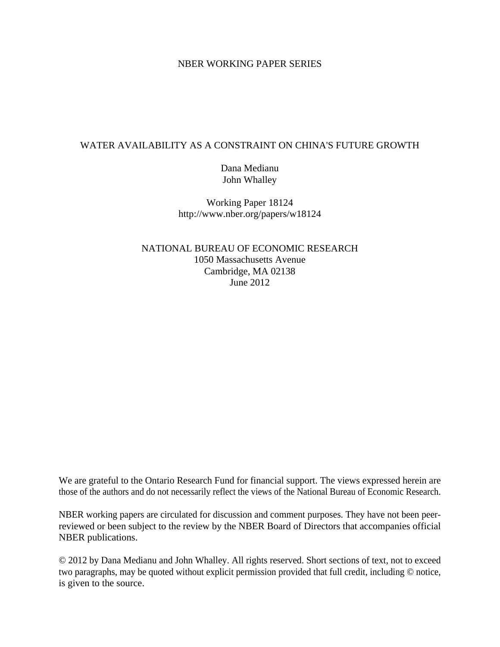## NBER WORKING PAPER SERIES

## WATER AVAILABILITY AS A CONSTRAINT ON CHINA'S FUTURE GROWTH

Dana Medianu John Whalley

Working Paper 18124 http://www.nber.org/papers/w18124

NATIONAL BUREAU OF ECONOMIC RESEARCH 1050 Massachusetts Avenue Cambridge, MA 02138 June 2012

We are grateful to the Ontario Research Fund for financial support. The views expressed herein are those of the authors and do not necessarily reflect the views of the National Bureau of Economic Research.

NBER working papers are circulated for discussion and comment purposes. They have not been peerreviewed or been subject to the review by the NBER Board of Directors that accompanies official NBER publications.

© 2012 by Dana Medianu and John Whalley. All rights reserved. Short sections of text, not to exceed two paragraphs, may be quoted without explicit permission provided that full credit, including © notice, is given to the source.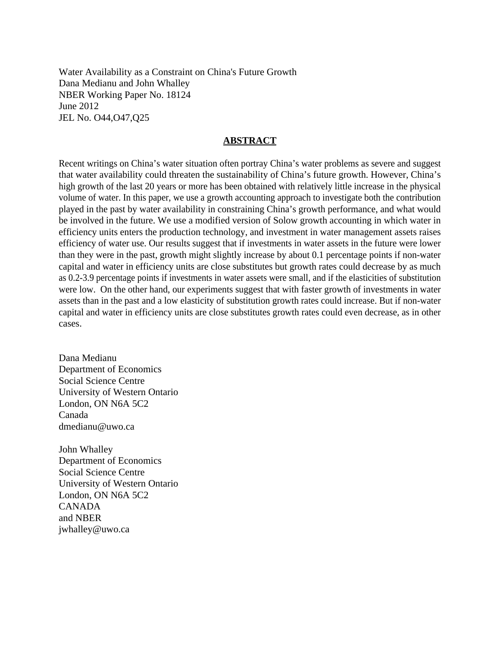Water Availability as a Constraint on China's Future Growth Dana Medianu and John Whalley NBER Working Paper No. 18124 June 2012 JEL No. O44,O47,Q25

## **ABSTRACT**

Recent writings on China's water situation often portray China's water problems as severe and suggest that water availability could threaten the sustainability of China's future growth. However, China's high growth of the last 20 years or more has been obtained with relatively little increase in the physical volume of water. In this paper, we use a growth accounting approach to investigate both the contribution played in the past by water availability in constraining China's growth performance, and what would be involved in the future. We use a modified version of Solow growth accounting in which water in efficiency units enters the production technology, and investment in water management assets raises efficiency of water use. Our results suggest that if investments in water assets in the future were lower than they were in the past, growth might slightly increase by about 0.1 percentage points if non-water capital and water in efficiency units are close substitutes but growth rates could decrease by as much as 0.2-3.9 percentage points if investments in water assets were small, and if the elasticities of substitution were low. On the other hand, our experiments suggest that with faster growth of investments in water assets than in the past and a low elasticity of substitution growth rates could increase. But if non-water capital and water in efficiency units are close substitutes growth rates could even decrease, as in other cases.

Dana Medianu Department of Economics Social Science Centre University of Western Ontario London, ON N6A 5C2 Canada dmedianu@uwo.ca

John Whalley Department of Economics Social Science Centre University of Western Ontario London, ON N6A 5C2 CANADA and NBER jwhalley@uwo.ca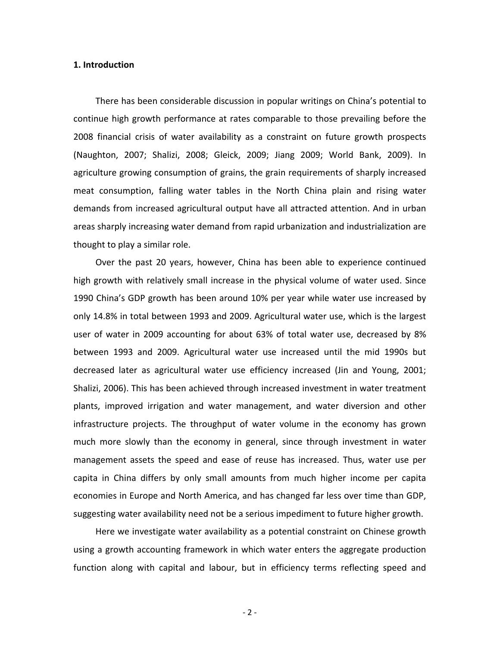#### **1. Introduction**

There has been considerable discussion in popular writings on China's potential to continue high growth performance at rates comparable to those prevailing before the 2008 financial crisis of water availability as a constraint on future growth prospects (Naughton, 2007; Shalizi, 2008; Gleick, 2009; Jiang 2009; World Bank, 2009). In agriculture growing consumption of grains, the grain requirements of sharply increased meat consumption, falling water tables in the North China plain and rising water demands from increased agricultural output have all attracted attention. And in urban areas sharply increasing water demand from rapid urbanization and industrialization are thought to play a similar role.

Over the past 20 years, however, China has been able to experience continued high growth with relatively small increase in the physical volume of water used. Since 1990 China's GDP growth has been around 10% per year while water use increased by only 14.8% in total between 1993 and 2009. Agricultural water use, which is the largest user of water in 2009 accounting for about 63% of total water use, decreased by 8% between 1993 and 2009. Agricultural water use increased until the mid 1990s but decreased later as agricultural water use efficiency increased (Jin and Young, 2001; Shalizi, 2006). This has been achieved through increased investment in water treatment plants, improved irrigation and water management, and water diversion and other infrastructure projects. The throughput of water volume in the economy has grown much more slowly than the economy in general, since through investment in water management assets the speed and ease of reuse has increased. Thus, water use per capita in China differs by only small amounts from much higher income per capita economies in Europe and North America, and has changed far less over time than GDP, suggesting water availability need not be a serious impediment to future higher growth.

Here we investigate water availability as a potential constraint on Chinese growth using a growth accounting framework in which water enters the aggregate production function along with capital and labour, but in efficiency terms reflecting speed and

 $-2 -$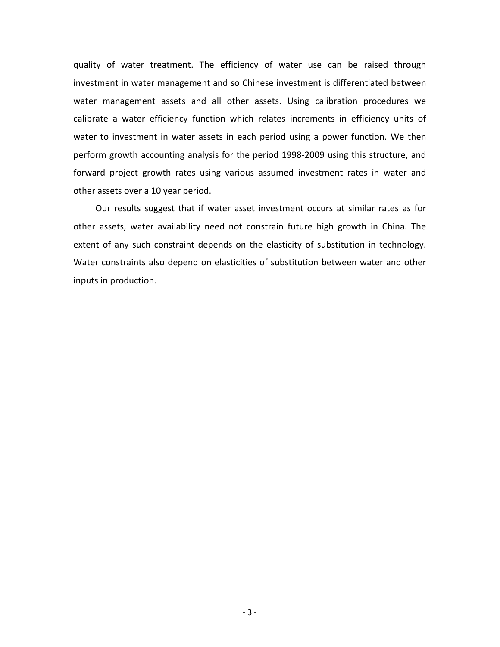quality of water treatment. The efficiency of water use can be raised through investment in water management and so Chinese investment is differentiated between water management assets and all other assets. Using calibration procedures we calibrate a water efficiency function which relates increments in efficiency units of water to investment in water assets in each period using a power function. We then perform growth accounting analysis for the period 1998‐2009 using this structure, and forward project growth rates using various assumed investment rates in water and other assets over a 10 year period.

Our results suggest that if water asset investment occurs at similar rates as for other assets, water availability need not constrain future high growth in China. The extent of any such constraint depends on the elasticity of substitution in technology. Water constraints also depend on elasticities of substitution between water and other inputs in production.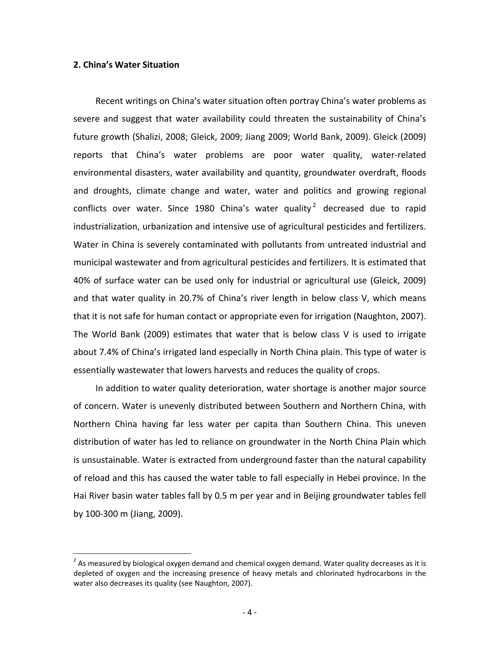#### **2. China's Water Situation**

 $\overline{a}$ 

Recent writings on China's water situation often portray China's water problems as severe and suggest that water availability could threaten the sustainability of China's future growth (Shalizi, 2008; Gleick, 2009; Jiang 2009; World Bank, 2009). Gleick (2009) reports that China's water problems are poor water quality, water-related environmental disasters, water availability and quantity, groundwater overdraft, floods and droughts, climate change and water, water and politics and growing regional conflicts over water. Since 1980 China's water quality<sup>2</sup> decreased due to rapid industrialization, urbanization and intensive use of agricultural pesticides and fertilizers. Water in China is severely contaminated with pollutants from untreated industrial and municipal wastewater and from agricultural pesticides and fertilizers. It is estimated that 40% of surface water can be used only for industrial or agricultural use (Gleick, 2009) and that water quality in 20.7% of China's river length in below class V, which means that it is not safe for human contact or appropriate even for irrigation (Naughton, 2007). The World Bank (2009) estimates that water that is below class V is used to irrigate about 7.4% of China's irrigated land especially in North China plain. This type of water is essentially wastewater that lowers harvests and reduces the quality of crops.

In addition to water quality deterioration, water shortage is another major source of concern. Water is unevenly distributed between Southern and Northern China, with Northern China having far less water per capita than Southern China. This uneven distribution of water has led to reliance on groundwater in the North China Plain which is unsustainable. Water is extracted from underground faster than the natural capability of reload and this has caused the water table to fall especially in Hebei province. In the Hai River basin water tables fall by 0.5 m per year and in Beijing groundwater tables fell by 100‐300 m (Jiang, 2009).

<span id="page-4-0"></span> $^{2}$  As measured by biological oxygen demand and chemical oxygen demand. Water quality decreases as it is depleted of oxygen and the increasing presence of heavy metals and chlorinated hydrocarbons in the water also decreases its quality (see Naughton, 2007).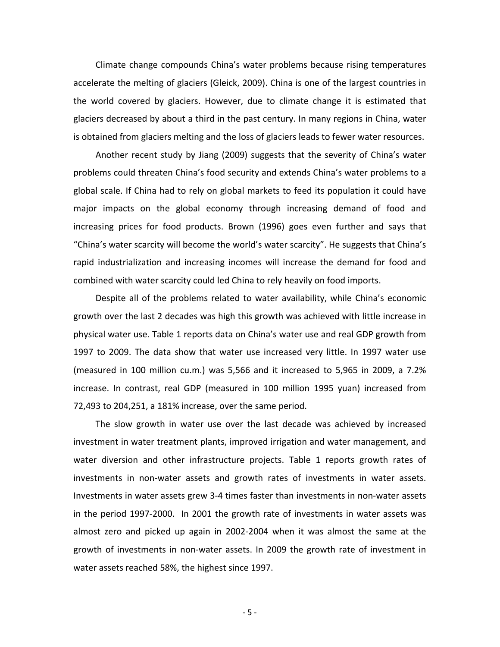Climate change compounds China's water problems because rising temperatures accelerate the melting of glaciers (Gleick, 2009). China is one of the largest countries in the world covered by glaciers. However, due to climate change it is estimated that glaciers decreased by about a third in the past century. In many regions in China, water is obtained from glaciers melting and the loss of glaciers leads to fewer water resources.

Another recent study by Jiang (2009) suggests that the severity of China's water problems could threaten China's food security and extends China's water problems to a global scale. If China had to rely on global markets to feed its population it could have major impacts on the global economy through increasing demand of food and increasing prices for food products. Brown (1996) goes even further and says that "China's water scarcity will become the world's water scarcity". He suggests that China's rapid industrialization and increasing incomes will increase the demand for food and combined with water scarcity could led China to rely heavily on food imports.

Despite all of the problems related to water availability, while China's economic growth over the last 2 decades was high this growth was achieved with little increase in physical water use. Table 1 reports data on China's water use and real GDP growth from 1997 to 2009. The data show that water use increased very little. In 1997 water use (measured in 100 million cu.m.) was 5,566 and it increased to 5,965 in 2009, a 7.2% increase. In contrast, real GDP (measured in 100 million 1995 yuan) increased from 72,493 to 204,251, a 181% increase, over the same period.

The slow growth in water use over the last decade was achieved by increased investment in water treatment plants, improved irrigation and water management, and water diversion and other infrastructure projects. Table 1 reports growth rates of investments in non‐water assets and growth rates of investments in water assets. Investments in water assets grew 3‐4 times faster than investments in non‐water assets in the period 1997‐2000. In 2001 the growth rate of investments in water assets was almost zero and picked up again in 2002‐2004 when it was almost the same at the growth of investments in non‐water assets. In 2009 the growth rate of investment in water assets reached 58%, the highest since 1997.

 $-5 -$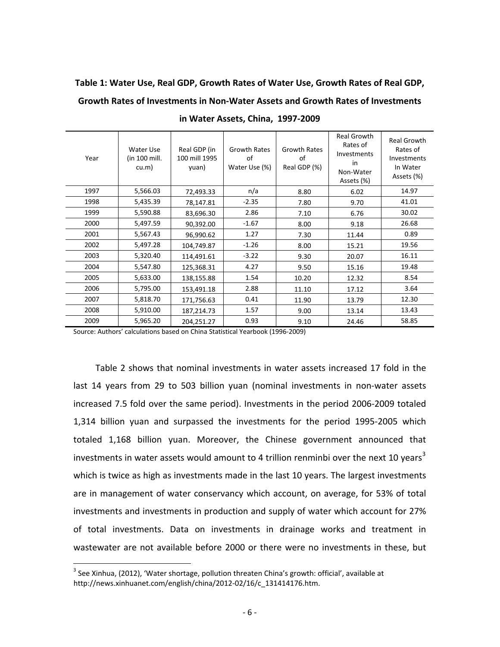# **Table 1: Water Use, Real GDP, Growth Rates of Water Use, Growth Rates of Real GDP, Growth Rates of Investments in Non‐Water Assets and Growth Rates of Investments**

| Year | Water Use<br>(in 100 mill.<br>cu.m) | Real GDP (in<br>100 mill 1995<br>yuan) | <b>Growth Rates</b><br>of<br>Water Use (%) | <b>Growth Rates</b><br>of<br>Real GDP (%) | <b>Real Growth</b><br>Rates of<br>Investments<br>in<br>Non-Water<br>Assets (%) | <b>Real Growth</b><br>Rates of<br>Investments<br>In Water<br>Assets (%) |
|------|-------------------------------------|----------------------------------------|--------------------------------------------|-------------------------------------------|--------------------------------------------------------------------------------|-------------------------------------------------------------------------|
| 1997 | 5,566.03                            | 72,493.33                              | n/a                                        | 8.80                                      | 6.02                                                                           | 14.97                                                                   |
| 1998 | 5,435.39                            | 78,147.81                              | $-2.35$                                    | 7.80                                      | 9.70                                                                           | 41.01                                                                   |
| 1999 | 5,590.88                            | 83,696.30                              | 2.86                                       | 7.10                                      | 6.76                                                                           | 30.02                                                                   |
| 2000 | 5,497.59                            | 90,392.00                              | $-1.67$                                    | 8.00                                      | 9.18                                                                           | 26.68                                                                   |
| 2001 | 5,567.43                            | 96,990.62                              | 1.27                                       | 7.30                                      | 11.44                                                                          | 0.89                                                                    |
| 2002 | 5,497.28                            | 104,749.87                             | $-1.26$                                    | 8.00                                      | 15.21                                                                          | 19.56                                                                   |
| 2003 | 5,320.40                            | 114,491.61                             | $-3.22$                                    | 9.30                                      | 20.07                                                                          | 16.11                                                                   |
| 2004 | 5,547.80                            | 125,368.31                             | 4.27                                       | 9.50                                      | 15.16                                                                          | 19.48                                                                   |
| 2005 | 5,633.00                            | 138,155.88                             | 1.54                                       | 10.20                                     | 12.32                                                                          | 8.54                                                                    |
| 2006 | 5,795.00                            | 153,491.18                             | 2.88                                       | 11.10                                     | 17.12                                                                          | 3.64                                                                    |
| 2007 | 5,818.70                            | 171,756.63                             | 0.41                                       | 11.90                                     | 13.79                                                                          | 12.30                                                                   |
| 2008 | 5,910.00                            | 187,214.73                             | 1.57                                       | 9.00                                      | 13.14                                                                          | 13.43                                                                   |
| 2009 | 5,965.20                            | 204,251.27                             | 0.93                                       | 9.10                                      | 24.46                                                                          | 58.85                                                                   |

**in Water Assets, China, 1997‐2009**

Source: Authors' calculations based on China Statistical Yearbook (1996‐2009)

Table 2 shows that nominal investments in water assets increased 17 fold in the last 14 years from 29 to 503 billion yuan (nominal investments in non‐water assets increased 7.5 fold over the same period). Investments in the period 2006‐2009 totaled 1,314 billion yuan and surpassed the investments for the period 1995‐2005 which totaled 1,168 billion yuan. Moreover, the Chinese government announced that investments in water assets would amount to 4 trillion renminbi over the next 10 years<sup>[3](#page-4-0)</sup> which is twice as high as investments made in the last 10 years. The largest investments are in management of water conservancy which account, on average, for 53% of total investments and investments in production and supply of water which account for 27% of total investments. Data on investments in drainage works and treatment in wastewater are not available before 2000 or there were no investments in these, but

 $\overline{a}$ 

<span id="page-6-0"></span> $^3$  See Xinhua, (2012), 'Water shortage, pollution threaten China's growth: official', available at http://news.xinhuanet.com/english/china/2012‐02/16/c\_131414176.htm.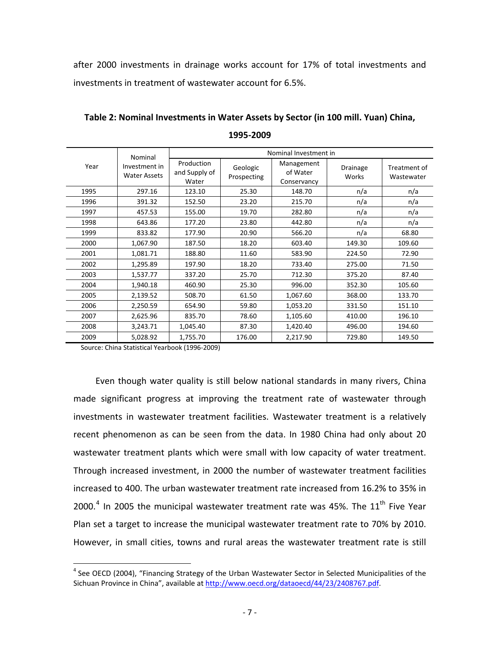after 2000 investments in drainage works account for 17% of total investments and investments in treatment of wastewater account for 6.5%.

|      | Nominal                              |                                      |                         | Nominal Investment in                 |                   |                            |
|------|--------------------------------------|--------------------------------------|-------------------------|---------------------------------------|-------------------|----------------------------|
| Year | Investment in<br><b>Water Assets</b> | Production<br>and Supply of<br>Water | Geologic<br>Prospecting | Management<br>of Water<br>Conservancy | Drainage<br>Works | Treatment of<br>Wastewater |
| 1995 | 297.16                               | 123.10                               | 25.30                   | 148.70                                | n/a               | n/a                        |
| 1996 | 391.32                               | 152.50                               | 23.20                   | 215.70                                | n/a               | n/a                        |
| 1997 | 457.53                               | 155.00                               | 19.70                   | 282.80                                | n/a               | n/a                        |
| 1998 | 643.86                               | 177.20                               | 23.80                   | 442.80                                | n/a               | n/a                        |
| 1999 | 833.82                               | 177.90                               | 20.90                   | 566.20                                | n/a               | 68.80                      |
| 2000 | 1,067.90                             | 187.50                               | 18.20                   | 603.40                                | 149.30            | 109.60                     |
| 2001 | 1,081.71                             | 188.80                               | 11.60                   | 583.90                                | 224.50            | 72.90                      |
| 2002 | 1,295.89                             | 197.90                               | 18.20                   | 733.40                                | 275.00            | 71.50                      |
| 2003 | 1,537.77                             | 337.20                               | 25.70                   | 712.30                                | 375.20            | 87.40                      |
| 2004 | 1,940.18                             | 460.90                               | 25.30                   | 996.00                                | 352.30            | 105.60                     |
| 2005 | 2,139.52                             | 508.70                               | 61.50                   | 1,067.60                              | 368.00            | 133.70                     |
| 2006 | 2,250.59                             | 654.90                               | 59.80                   | 1,053.20                              | 331.50            | 151.10                     |
| 2007 | 2,625.96                             | 835.70                               | 78.60                   | 1,105.60                              | 410.00            | 196.10                     |
| 2008 | 3,243.71                             | 1,045.40                             | 87.30                   | 1,420.40                              | 496.00            | 194.60                     |
| 2009 | 5,028.92                             | 1,755.70                             | 176.00                  | 2,217.90                              | 729.80            | 149.50                     |

**Table 2: Nominal Investments in Water Assets by Sector (in 100 mill. Yuan) China, 1995‐2009**

Source: China Statistical Yearbook (1996‐2009)

 $\overline{a}$ 

Even though water quality is still below national standards in many rivers, China made significant progress at improving the treatment rate of wastewater through investments in wastewater treatment facilities. Wastewater treatment is a relatively recent phenomenon as can be seen from the data. In 1980 China had only about 20 wastewater treatment plants which were small with low capacity of water treatment. Through increased investment, in 2000 the number of wastewater treatment facilities increased to 400. The urban wastewater treatment rate increased from 16.2% to 35% in 2000.<sup>[4](#page-6-0)</sup> In 2005 the municipal wastewater treatment rate was 45%. The  $11<sup>th</sup>$  Five Year Plan set a target to increase the municipal wastewater treatment rate to 70% by 2010. However, in small cities, towns and rural areas the wastewater treatment rate is still

<span id="page-7-0"></span><sup>&</sup>lt;sup>4</sup> See OECD (2004), "Financing Strategy of the Urban Wastewater Sector in Selected Municipalities of the Sichuan Province in China", available at <http://www.oecd.org/dataoecd/44/23/2408767.pdf>.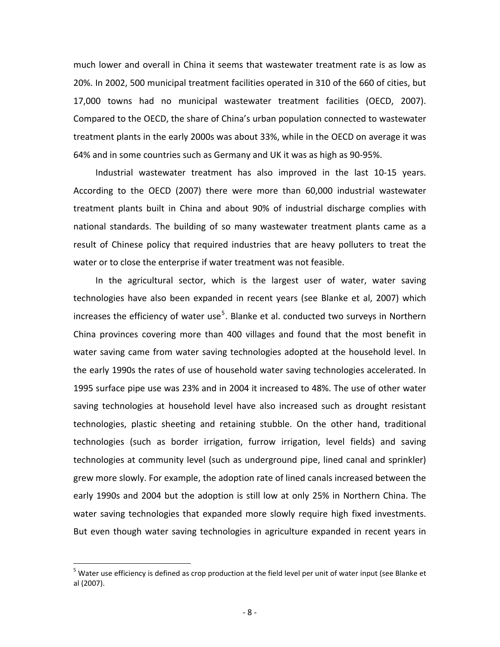much lower and overall in China it seems that wastewater treatment rate is as low as 20%. In 2002, 500 municipal treatment facilities operated in 310 of the 660 of cities, but 17,000 towns had no municipal wastewater treatment facilities (OECD, 2007). Compared to the OECD, the share of China's urban population connected to wastewater treatment plants in the early 2000s was about 33%, while in the OECD on average it was 64% and in some countries such as Germany and UK it was as high as 90‐95%.

Industrial wastewater treatment has also improved in the last 10‐15 years. According to the OECD (2007) there were more than 60,000 industrial wastewater treatment plants built in China and about 90% of industrial discharge complies with national standards. The building of so many wastewater treatment plants came as a result of Chinese policy that required industries that are heavy polluters to treat the water or to close the enterprise if water treatment was not feasible.

In the agricultural sector, which is the largest user of water, water saving technologies have also been expanded in recent years (see Blanke et al, 2007) which increases the efficiency of water use<sup>[5](#page-7-0)</sup>. Blanke et al. conducted two surveys in Northern China provinces covering more than 400 villages and found that the most benefit in water saving came from water saving technologies adopted at the household level. In the early 1990s the rates of use of household water saving technologies accelerated. In 1995 surface pipe use was 23% and in 2004 it increased to 48%. The use of other water saving technologies at household level have also increased such as drought resistant technologies, plastic sheeting and retaining stubble. On the other hand, traditional technologies (such as border irrigation, furrow irrigation, level fields) and saving technologies at community level (such as underground pipe, lined canal and sprinkler) grew more slowly. For example, the adoption rate of lined canals increased between the early 1990s and 2004 but the adoption is still low at only 25% in Northern China. The water saving technologies that expanded more slowly require high fixed investments. But even though water saving technologies in agriculture expanded in recent years in

 $\overline{a}$ 

<span id="page-8-0"></span><sup>&</sup>lt;sup>5</sup> Water use efficiency is defined as crop production at the field level per unit of water input (see Blanke et al (2007).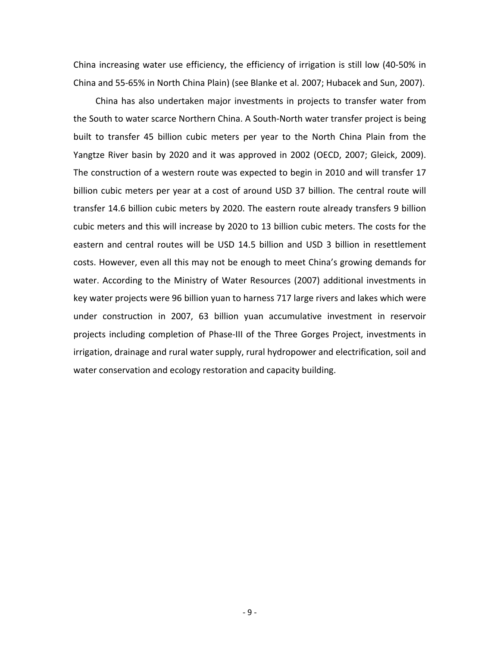China increasing water use efficiency, the efficiency of irrigation is still low (40‐50% in China and 55‐65% in North China Plain) (see Blanke et al. 2007; Hubacek and Sun, 2007).

China has also undertaken major investments in projects to transfer water from the South to water scarce Northern China. A South‐North water transfer project is being built to transfer 45 billion cubic meters per year to the North China Plain from the Yangtze River basin by 2020 and it was approved in 2002 (OECD, 2007; Gleick, 2009). The construction of a western route was expected to begin in 2010 and will transfer 17 billion cubic meters per year at a cost of around USD 37 billion. The central route will transfer 14.6 billion cubic meters by 2020. The eastern route already transfers 9 billion cubic meters and this will increase by 2020 to 13 billion cubic meters. The costs for the eastern and central routes will be USD 14.5 billion and USD 3 billion in resettlement costs. However, even all this may not be enough to meet China's growing demands for water. According to the Ministry of Water Resources (2007) additional investments in key water projects were 96 billion yuan to harness 717 large rivers and lakes which were under construction in 2007, 63 billion yuan accumulative investment in reservoir projects including completion of Phase‐III of the Three Gorges Project, investments in irrigation, drainage and rural water supply, rural hydropower and electrification, soil and water conservation and ecology restoration and capacity building.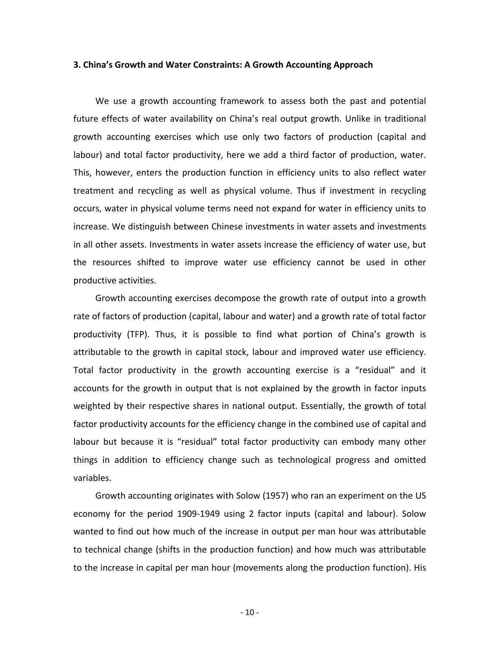#### **3. China's Growth and Water Constraints: A Growth Accounting Approach**

We use a growth accounting framework to assess both the past and potential future effects of water availability on China's real output growth. Unlike in traditional growth accounting exercises which use only two factors of production (capital and labour) and total factor productivity, here we add a third factor of production, water. This, however, enters the production function in efficiency units to also reflect water treatment and recycling as well as physical volume. Thus if investment in recycling occurs, water in physical volume terms need not expand for water in efficiency units to increase. We distinguish between Chinese investments in water assets and investments in all other assets. Investments in water assets increase the efficiency of water use, but the resources shifted to improve water use efficiency cannot be used in other productive activities.

Growth accounting exercises decompose the growth rate of output into a growth rate of factors of production (capital, labour and water) and a growth rate of total factor productivity (TFP). Thus, it is possible to find what portion of China's growth is attributable to the growth in capital stock, labour and improved water use efficiency. Total factor productivity in the growth accounting exercise is a "residual" and it accounts for the growth in output that is not explained by the growth in factor inputs weighted by their respective shares in national output. Essentially, the growth of total factor productivity accounts for the efficiency change in the combined use of capital and labour but because it is "residual" total factor productivity can embody many other things in addition to efficiency change such as technological progress and omitted variables.

Growth accounting originates with Solow (1957) who ran an experiment on the US economy for the period 1909‐1949 using 2 factor inputs (capital and labour). Solow wanted to find out how much of the increase in output per man hour was attributable to technical change (shifts in the production function) and how much was attributable to the increase in capital per man hour (movements along the production function). His

 $-10-$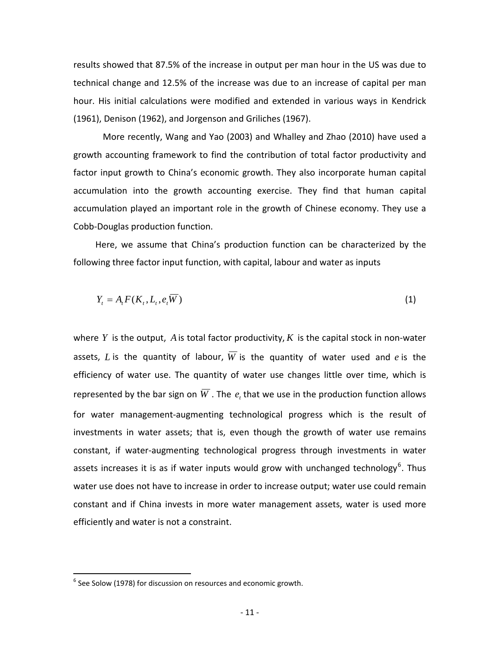results showed that 87.5% of the increase in output per man hour in the US was due to technical change and 12.5% of the increase was due to an increase of capital per man hour. His initial calculations were modified and extended in various ways in Kendrick (1961), Denison (1962), and Jorgenson and Griliches (1967).

More recently, Wang and Yao (2003) and Whalley and Zhao (2010) have used a growth accounting framework to find the contribution of total factor productivity and factor input growth to China's economic growth. They also incorporate human capital accumulation into the growth accounting exercise. They find that human capital accumulation played an important role in the growth of Chinese economy. They use a Cobb‐Douglas production function.

Here, we assume that China's production function can be characterized by the following three factor input function, with capital, labour and water as inputs

$$
Y_t = A_t F(K_t, L_t, e_t \overline{W})
$$
\n<sup>(1)</sup>

where  $Y$  is the output,  $A$  is total factor productivity,  $K$  is the capital stock in non-water assets, L is the quantity of labour,  $\overline{W}$  is the quantity of water used and  $e$  is the efficiency of water use. The quantity of water use changes little over time, which is represented by the bar sign on  $W$  . The  $e_t$  that we use in the production function allows for water management-augmenting technological progress which is the result of investments in water assets; that is, even though the growth of water use remains constant, if water‐augmenting technological progress through investments in water assets increases it is as if water inputs would grow with unchanged technology<sup>[6](#page-8-0)</sup>. Thus water use does not have to increase in order to increase output; water use could remain constant and if China invests in more water management assets, water is used more efficiently and water is not a constraint.

<span id="page-11-0"></span> $\overline{a}$ 

 $6$  See Solow (1978) for discussion on resources and economic growth.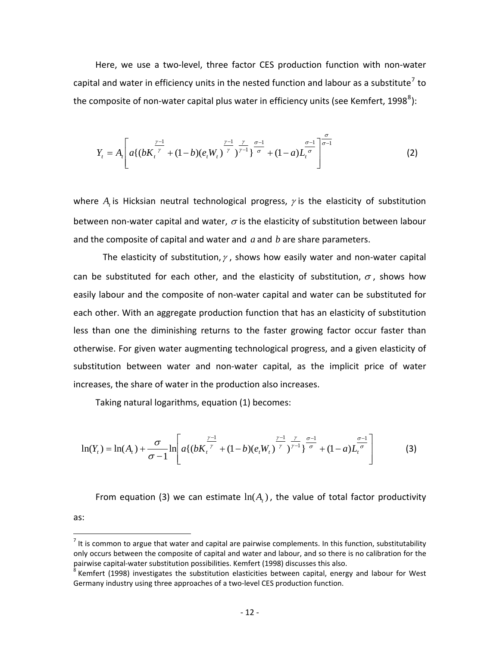Here, we use a two‐level, three factor CES production function with non‐water capital and water in efficiency units in the nested function and labour as a substitute<sup>[7](#page-11-0)</sup> to the composite of non-water capital plus water in efficiency units (see Kemfert, 199[8](#page-12-0) $^8$ ):

$$
Y_{t} = A_{t} \left[ a \left\{ (b K_{t}^{\frac{\gamma-1}{\gamma}} + (1-b)(e_{t} W_{t})^{\frac{\gamma-1}{\gamma}})^{\frac{\gamma}{\gamma-1}} \right\}^{\frac{\sigma}{\sigma}-1} + (1-a) L_{t}^{\frac{\sigma-1}{\sigma}} \right]^{\frac{\sigma}{\sigma-1}}
$$
(2)

where  $A_t$  is Hicksian neutral technological progress,  $\gamma$  is the elasticity of substitution between non-water capital and water,  $\sigma$  is the elasticity of substitution between labour and the composite of capital and water and *a* and *b* are share parameters.

The elasticity of substitution,  $\gamma$ , shows how easily water and non-water capital can be substituted for each other, and the elasticity of substitution,  $\sigma$ , shows how easily labour and the composite of non-water capital and water can be substituted for each other. With an aggregate production function that has an elasticity of substitution less than one the diminishing returns to the faster growing factor occur faster than otherwise. For given water augmenting technological progress, and a given elasticity of substitution between water and non‐water capital, as the implicit price of water increases, the share of water in the production also increases.

Taking natural logarithms, equation (1) becomes:

as:

<u>.</u>

$$
\ln(Y_t) = \ln(A_t) + \frac{\sigma}{\sigma - 1} \ln \left[ a \left\{ (bK_t^{\frac{\gamma - 1}{\gamma}} + (1 - b)(e_t W_t)^{\frac{\gamma - 1}{\gamma}} \right\}^{\frac{\gamma}{\gamma - 1}} + (1 - a) L_t^{\frac{\sigma - 1}{\sigma}} \right] \tag{3}
$$

From equation (3) we can estimate  $ln(A_t)$ , the value of total factor productivity

<span id="page-12-1"></span> $<sup>7</sup>$  It is common to argue that water and capital are pairwise complements. In this function, substitutability</sup> only occurs between the composite of capital and water and labour, and so there is no calibration for the pairwise capital-water substitution possibilities. Kemfert (1998) discusses this also.<br><sup>8</sup> Kemfert (1998) investigates the substitution elasticities between capital, energy and labour for West

<span id="page-12-0"></span>Germany industry using three approaches of a two‐level CES production function.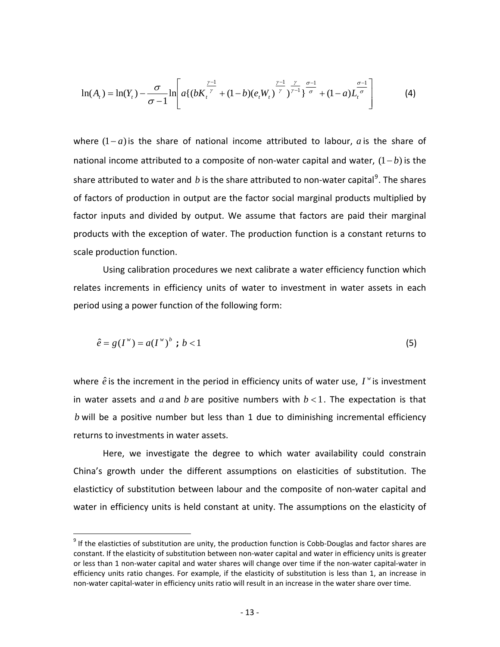$$
\ln(A_t) = \ln(Y_t) - \frac{\sigma}{\sigma - 1} \ln \left[ a \left\{ (b K_t^{\frac{\gamma - 1}{\gamma}} + (1 - b)(e_t W_t)^{\frac{\gamma - 1}{\gamma}} \right\}^{\frac{\gamma}{\gamma} - 1} + (1 - a) L_t^{\frac{\sigma - 1}{\sigma}} \right] \tag{4}
$$

where  $(1 - a)$  is the share of national income attributed to labour,  $a$  is the share of national income attributed to a composite of non-water capital and water,  $(1-b)$  is the share attributed to water and  $b$  is the share attributed to non-water capital<sup>[9](#page-12-1)</sup>. The shares of factors of production in output are the factor social marginal products multiplied by factor inputs and divided by output. We assume that factors are paid their marginal products with the exception of water. The production function is a constant returns to scale production function.

Using calibration procedures we next calibrate a water efficiency function which relates increments in efficiency units of water to investment in water assets in each period using a power function of the following form:

$$
\hat{e} = g(I^{\mathbf{w}}) = a(I^{\mathbf{w}})^{b} \text{ ; } b < 1 \tag{5}
$$

where  $\hat{e}$  is the increment in the period in efficiency units of water use,  $I^w$  is investment in water assets and  $a$  and  $b$  are positive numbers with  $b < 1$ . The expectation is that  $b$  will be a positive number but less than 1 due to diminishing incremental efficiency returns to investments in water assets.

Here, we investigate the degree to which water availability could constrain China's growth under the different assumptions on elasticities of substitution. The elasticticy of substitution between labour and the composite of non‐water capital and water in efficiency units is held constant at unity. The assumptions on the elasticity of

 $\overline{a}$ 

<span id="page-13-0"></span> $9$  If the elasticties of substitution are unity, the production function is Cobb-Douglas and factor shares are constant. If the elasticity of substitution between non-water capital and water in efficiency units is greater or less than 1 non‐water capital and water shares will change over time if the non‐water capital‐water in efficiency units ratio changes. For example, if the elasticity of substitution is less than 1, an increase in non‐water capital‐water in efficiency units ratio will result in an increase in the water share over time.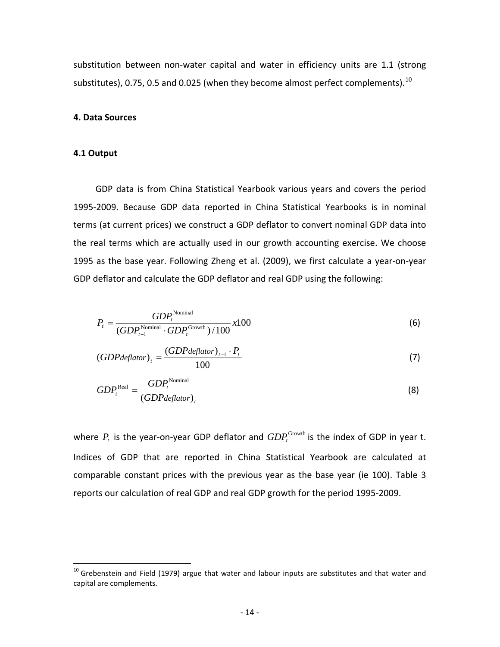substitution between non‐water capital and water in efficiency units are 1.1 (strong substitutes), 0.75, 0.5 and 0.025 (when they become almost perfect complements).  $^{10}$  $^{10}$  $^{10}$ 

## **4. Data Sources**

## **4.1 Output**

 $\overline{a}$ 

GDP data is from China Statistical Yearbook various years and covers the period 1995‐2009. Because GDP data reported in China Statistical Yearbooks is in nominal terms (at current prices) we construct a GDP deflator to convert nominal GDP data into the real terms which are actually used in our growth accounting exercise. We choose 1995 as the base year. Following Zheng et al. (2009), we first calculate a year‐on‐year GDP deflator and calculate the GDP deflator and real GDP using the following:

$$
P_{t} = \frac{GDP_{t}^{\text{Normal}}}{(GDP_{t-1}^{\text{Normal}} \cdot GDP_{t}^{\text{Growth}})/100} x100
$$
 (6)

$$
(GDPdeflator)_t = \frac{(GDPdeflator)_{t-1} \cdot P_t}{100} \tag{7}
$$

$$
GDP_t^{\text{Real}} = \frac{GDP_t^{\text{Nominal}}}{(GDPdeflator)_t}
$$
\n(8)

where  $P_{_{t}}$  is the year-on-year GDP deflator and  $GDP_{_{t}}^{\rm Growth}$  is the index of GDP in year t. Indices of GDP that are reported in China Statistical Yearbook are calculated at comparable constant prices with the previous year as the base year (ie 100). Table 3 reports our calculation of real GDP and real GDP growth for the period 1995‐2009.

<span id="page-14-0"></span> $^{10}$  Grebenstein and Field (1979) argue that water and labour inputs are substitutes and that water and capital are complements.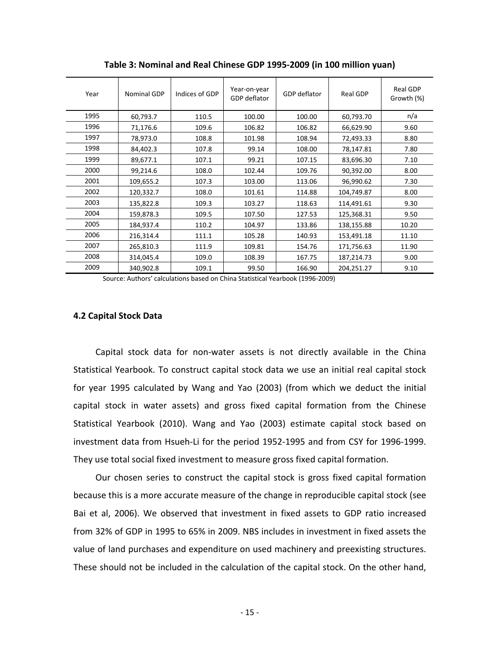| Year | <b>Nominal GDP</b> | Indices of GDP | Year-on-year<br>GDP deflator | GDP deflator | Real GDP   | <b>Real GDP</b><br>Growth (%) |
|------|--------------------|----------------|------------------------------|--------------|------------|-------------------------------|
| 1995 | 60,793.7           | 110.5          | 100.00                       | 100.00       | 60,793.70  | n/a                           |
| 1996 | 71,176.6           | 109.6          | 106.82                       | 106.82       | 66,629.90  | 9.60                          |
| 1997 | 78,973.0           | 108.8          | 101.98                       | 108.94       | 72,493.33  | 8.80                          |
| 1998 | 84,402.3           | 107.8          | 99.14                        | 108.00       | 78,147.81  | 7.80                          |
| 1999 | 89,677.1           | 107.1          | 99.21                        | 107.15       | 83,696.30  | 7.10                          |
| 2000 | 99,214.6           | 108.0          | 102.44                       | 109.76       | 90,392.00  | 8.00                          |
| 2001 | 109,655.2          | 107.3          | 103.00                       | 113.06       | 96,990.62  | 7.30                          |
| 2002 | 120,332.7          | 108.0          | 101.61                       | 114.88       | 104,749.87 | 8.00                          |
| 2003 | 135,822.8          | 109.3          | 103.27                       | 118.63       | 114,491.61 | 9.30                          |
| 2004 | 159,878.3          | 109.5          | 107.50                       | 127.53       | 125,368.31 | 9.50                          |
| 2005 | 184,937.4          | 110.2          | 104.97                       | 133.86       | 138,155.88 | 10.20                         |
| 2006 | 216,314.4          | 111.1          | 105.28                       | 140.93       | 153,491.18 | 11.10                         |
| 2007 | 265,810.3          | 111.9          | 109.81                       | 154.76       | 171,756.63 | 11.90                         |
| 2008 | 314,045.4          | 109.0          | 108.39                       | 167.75       | 187,214.73 | 9.00                          |
| 2009 | 340,902.8          | 109.1          | 99.50                        | 166.90       | 204,251.27 | 9.10                          |

**Table 3: Nominal and Real Chinese GDP 1995‐2009 (in 100 million yuan)**

Source: Authors' calculations based on China Statistical Yearbook (1996‐2009)

## **4.2 Capital Stock Data**

Capital stock data for non‐water assets is not directly available in the China Statistical Yearbook. To construct capital stock data we use an initial real capital stock for year 1995 calculated by Wang and Yao (2003) (from which we deduct the initial capital stock in water assets) and gross fixed capital formation from the Chinese Statistical Yearbook (2010). Wang and Yao (2003) estimate capital stock based on investment data from Hsueh‐Li for the period 1952‐1995 and from CSY for 1996‐1999. They use total social fixed investment to measure gross fixed capital formation.

Our chosen series to construct the capital stock is gross fixed capital formation because this is a more accurate measure of the change in reproducible capital stock (see Bai et al, 2006). We observed that investment in fixed assets to GDP ratio increased from 32% of GDP in 1995 to 65% in 2009. NBS includes in investment in fixed assets the value of land purchases and expenditure on used machinery and preexisting structures. These should not be included in the calculation of the capital stock. On the other hand,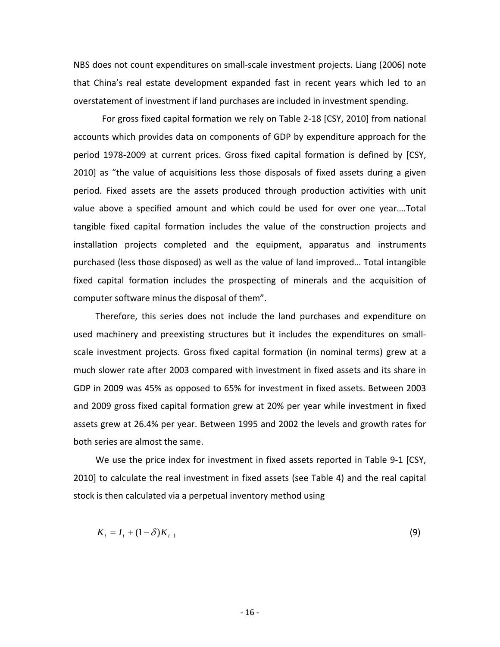NBS does not count expenditures on small‐scale investment projects. Liang (2006) note that China's real estate development expanded fast in recent years which led to an overstatement of investment if land purchases are included in investment spending.

 For gross fixed capital formation we rely on Table 2‐18 [CSY, 2010] from national accounts which provides data on components of GDP by expenditure approach for the period 1978‐2009 at current prices. Gross fixed capital formation is defined by [CSY, 2010] as "the value of acquisitions less those disposals of fixed assets during a given period. Fixed assets are the assets produced through production activities with unit value above a specified amount and which could be used for over one year….Total tangible fixed capital formation includes the value of the construction projects and installation projects completed and the equipment, apparatus and instruments purchased (less those disposed) as well as the value of land improved… Total intangible fixed capital formation includes the prospecting of minerals and the acquisition of computer software minus the disposal of them".

Therefore, this series does not include the land purchases and expenditure on used machinery and preexisting structures but it includes the expenditures on small‐ scale investment projects. Gross fixed capital formation (in nominal terms) grew at a much slower rate after 2003 compared with investment in fixed assets and its share in GDP in 2009 was 45% as opposed to 65% for investment in fixed assets. Between 2003 and 2009 gross fixed capital formation grew at 20% per year while investment in fixed assets grew at 26.4% per year. Between 1995 and 2002 the levels and growth rates for both series are almost the same.

We use the price index for investment in fixed assets reported in Table 9-1 [CSY, 2010] to calculate the real investment in fixed assets (see Table 4) and the real capital stock is then calculated via a perpetual inventory method using

$$
K_t = I_t + (1 - \delta)K_{t-1}
$$
 (9)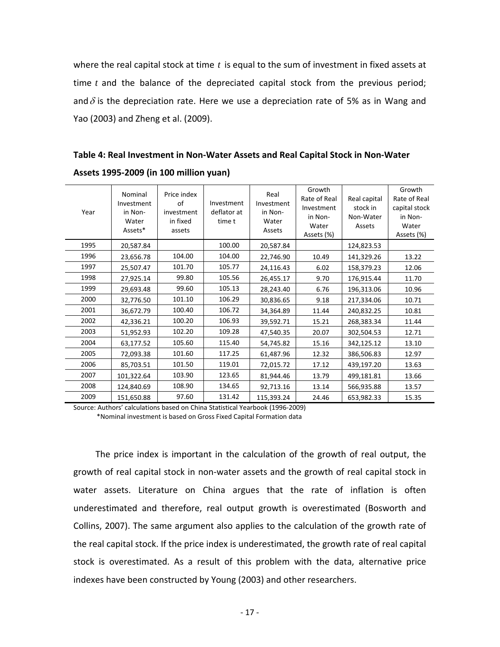where the real capital stock at time *t* is equal to the sum of investment in fixed assets at time *t* and the balance of the depreciated capital stock from the previous period; and  $\delta$  is the depreciation rate. Here we use a depreciation rate of 5% as in Wang and Yao (2003) and Zheng et al. (2009).

**Table 4: Real Investment in Non‐Water Assets and Real Capital Stock in Non‐Water Assets 1995‐2009 (in 100 million yuan)**

| Year | Nominal<br>Investment<br>in Non-<br>Water<br>Assets* | Price index<br>of<br>investment<br>in fixed<br>assets | Investment<br>deflator at<br>time t | Real<br>Investment<br>in Non-<br>Water<br>Assets | Growth<br>Rate of Real<br>Investment<br>in Non-<br>Water<br>Assets (%) | Real capital<br>stock in<br>Non-Water<br>Assets | Growth<br>Rate of Real<br>capital stock<br>in Non-<br>Water<br>Assets (%) |
|------|------------------------------------------------------|-------------------------------------------------------|-------------------------------------|--------------------------------------------------|------------------------------------------------------------------------|-------------------------------------------------|---------------------------------------------------------------------------|
| 1995 | 20,587.84                                            |                                                       | 100.00                              | 20,587.84                                        |                                                                        | 124,823.53                                      |                                                                           |
| 1996 | 23,656.78                                            | 104.00                                                | 104.00                              | 22,746.90                                        | 10.49                                                                  | 141,329.26                                      | 13.22                                                                     |
| 1997 | 25,507.47                                            | 101.70                                                | 105.77                              | 24,116.43                                        | 6.02                                                                   | 158,379.23                                      | 12.06                                                                     |
| 1998 | 27,925.14                                            | 99.80                                                 | 105.56                              | 26,455.17                                        | 9.70                                                                   | 176,915.44                                      | 11.70                                                                     |
| 1999 | 29,693.48                                            | 99.60                                                 | 105.13                              | 28,243.40                                        | 6.76                                                                   | 196,313.06                                      | 10.96                                                                     |
| 2000 | 32,776.50                                            | 101.10                                                | 106.29                              | 30,836.65                                        | 9.18                                                                   | 217,334.06                                      | 10.71                                                                     |
| 2001 | 36,672.79                                            | 100.40                                                | 106.72                              | 34,364.89                                        | 11.44                                                                  | 240,832.25                                      | 10.81                                                                     |
| 2002 | 42,336.21                                            | 100.20                                                | 106.93                              | 39,592.71                                        | 15.21                                                                  | 268,383.34                                      | 11.44                                                                     |
| 2003 | 51,952.93                                            | 102.20                                                | 109.28                              | 47,540.35                                        | 20.07                                                                  | 302,504.53                                      | 12.71                                                                     |
| 2004 | 63,177.52                                            | 105.60                                                | 115.40                              | 54,745.82                                        | 15.16                                                                  | 342,125.12                                      | 13.10                                                                     |
| 2005 | 72,093.38                                            | 101.60                                                | 117.25                              | 61,487.96                                        | 12.32                                                                  | 386,506.83                                      | 12.97                                                                     |
| 2006 | 85,703.51                                            | 101.50                                                | 119.01                              | 72,015.72                                        | 17.12                                                                  | 439,197.20                                      | 13.63                                                                     |
| 2007 | 101,322.64                                           | 103.90                                                | 123.65                              | 81,944.46                                        | 13.79                                                                  | 499,181.81                                      | 13.66                                                                     |
| 2008 | 124,840.69                                           | 108.90                                                | 134.65                              | 92,713.16                                        | 13.14                                                                  | 566,935.88                                      | 13.57                                                                     |
| 2009 | 151,650.88                                           | 97.60                                                 | 131.42                              | 115,393.24                                       | 24.46                                                                  | 653,982.33                                      | 15.35                                                                     |

Source: Authors' calculations based on China Statistical Yearbook (1996‐2009) \*Nominal investment is based on Gross Fixed Capital Formation data

The price index is important in the calculation of the growth of real output, the growth of real capital stock in non‐water assets and the growth of real capital stock in water assets. Literature on China argues that the rate of inflation is often underestimated and therefore, real output growth is overestimated (Bosworth and Collins, 2007). The same argument also applies to the calculation of the growth rate of the real capital stock. If the price index is underestimated, the growth rate of real capital stock is overestimated. As a result of this problem with the data, alternative price indexes have been constructed by Young (2003) and other researchers.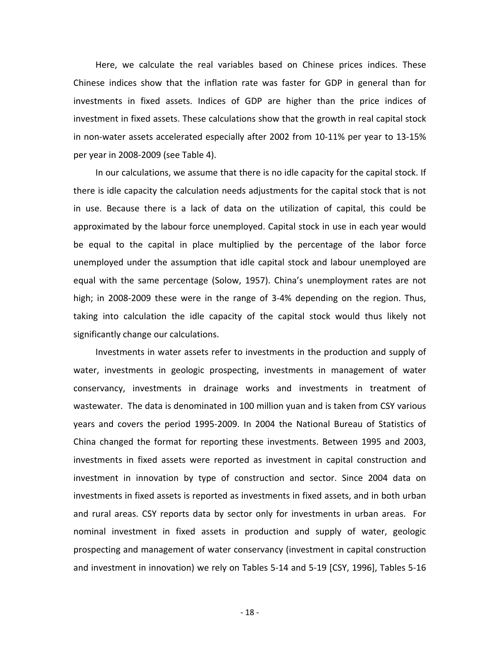Here, we calculate the real variables based on Chinese prices indices. These Chinese indices show that the inflation rate was faster for GDP in general than for investments in fixed assets. Indices of GDP are higher than the price indices of investment in fixed assets. These calculations show that the growth in real capital stock in non-water assets accelerated especially after 2002 from 10-11% per year to 13-15% per year in 2008‐2009 (see Table 4).

In our calculations, we assume that there is no idle capacity for the capital stock. If there is idle capacity the calculation needs adjustments for the capital stock that is not in use. Because there is a lack of data on the utilization of capital, this could be approximated by the labour force unemployed. Capital stock in use in each year would be equal to the capital in place multiplied by the percentage of the labor force unemployed under the assumption that idle capital stock and labour unemployed are equal with the same percentage (Solow, 1957). China's unemployment rates are not high; in 2008-2009 these were in the range of 3-4% depending on the region. Thus, taking into calculation the idle capacity of the capital stock would thus likely not significantly change our calculations.

Investments in water assets refer to investments in the production and supply of water, investments in geologic prospecting, investments in management of water conservancy, investments in drainage works and investments in treatment of wastewater. The data is denominated in 100 million yuan and is taken from CSY various years and covers the period 1995‐2009. In 2004 the National Bureau of Statistics of China changed the format for reporting these investments. Between 1995 and 2003, investments in fixed assets were reported as investment in capital construction and investment in innovation by type of construction and sector. Since 2004 data on investments in fixed assets is reported as investments in fixed assets, and in both urban and rural areas. CSY reports data by sector only for investments in urban areas. For nominal investment in fixed assets in production and supply of water, geologic prospecting and management of water conservancy (investment in capital construction and investment in innovation) we rely on Tables 5‐14 and 5‐19 [CSY, 1996], Tables 5‐16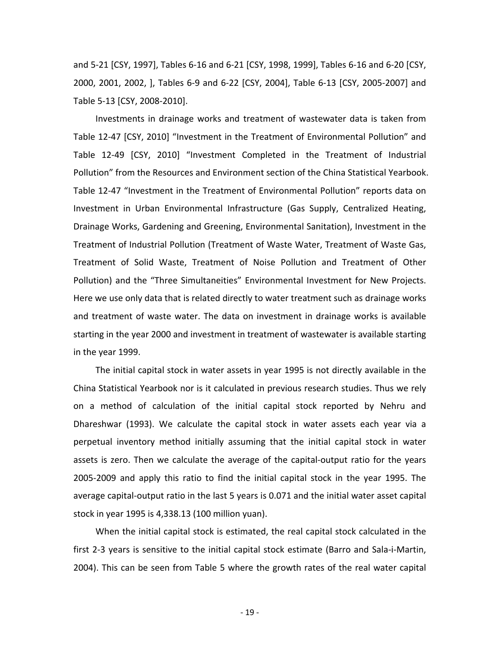and 5‐21 [CSY, 1997], Tables 6‐16 and 6‐21 [CSY, 1998, 1999], Tables 6‐16 and 6‐20 [CSY, 2000, 2001, 2002, ], Tables 6‐9 and 6‐22 [CSY, 2004], Table 6‐13 [CSY, 2005‐2007] and Table 5‐13 [CSY, 2008‐2010].

Investments in drainage works and treatment of wastewater data is taken from Table 12-47 [CSY, 2010] "Investment in the Treatment of Environmental Pollution" and Table 12‐49 [CSY, 2010] "Investment Completed in the Treatment of Industrial Pollution" from the Resources and Environment section of the China Statistical Yearbook. Table 12‐47 "Investment in the Treatment of Environmental Pollution" reports data on Investment in Urban Environmental Infrastructure (Gas Supply, Centralized Heating, Drainage Works, Gardening and Greening, Environmental Sanitation), Investment in the Treatment of Industrial Pollution (Treatment of Waste Water, Treatment of Waste Gas, Treatment of Solid Waste, Treatment of Noise Pollution and Treatment of Other Pollution) and the "Three Simultaneities" Environmental Investment for New Projects. Here we use only data that is related directly to water treatment such as drainage works and treatment of waste water. The data on investment in drainage works is available starting in the year 2000 and investment in treatment of wastewater is available starting in the year 1999.

The initial capital stock in water assets in year 1995 is not directly available in the China Statistical Yearbook nor is it calculated in previous research studies. Thus we rely on a method of calculation of the initial capital stock reported by Nehru and Dhareshwar (1993). We calculate the capital stock in water assets each year via a perpetual inventory method initially assuming that the initial capital stock in water assets is zero. Then we calculate the average of the capital‐output ratio for the years 2005‐2009 and apply this ratio to find the initial capital stock in the year 1995. The average capital‐output ratio in the last 5 years is 0.071 and the initial water asset capital stock in year 1995 is 4,338.13 (100 million yuan).

When the initial capital stock is estimated, the real capital stock calculated in the first 2-3 years is sensitive to the initial capital stock estimate (Barro and Sala-i-Martin, 2004). This can be seen from Table 5 where the growth rates of the real water capital

‐ 19 ‐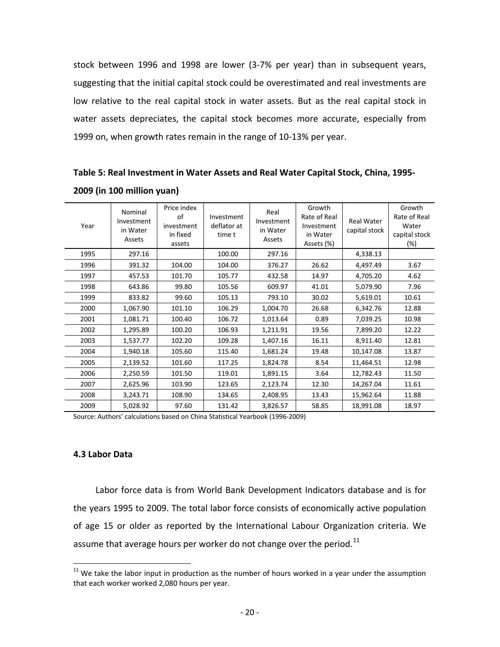stock between 1996 and 1998 are lower (3‐7% per year) than in subsequent years, suggesting that the initial capital stock could be overestimated and real investments are low relative to the real capital stock in water assets. But as the real capital stock in water assets depreciates, the capital stock becomes more accurate, especially from 1999 on, when growth rates remain in the range of 10‐13% per year.

| Year | Nominal<br>Investment<br>in Water<br>Assets | Price index<br>of<br>investment<br>in fixed<br>assets | Investment<br>deflator at<br>time t | Real<br>Investment<br>in Water<br>Assets | Growth<br>Rate of Real<br>Investment<br>in Water<br>Assets (%) | <b>Real Water</b><br>capital stock | Growth<br>Rate of Real<br>Water<br>capital stock<br>(%) |
|------|---------------------------------------------|-------------------------------------------------------|-------------------------------------|------------------------------------------|----------------------------------------------------------------|------------------------------------|---------------------------------------------------------|
| 1995 | 297.16                                      |                                                       | 100.00                              | 297.16                                   |                                                                | 4,338.13                           |                                                         |
| 1996 | 391.32                                      | 104.00                                                | 104.00                              | 376.27                                   | 26.62                                                          | 4,497.49                           | 3.67                                                    |
| 1997 | 457.53                                      | 101.70                                                | 105.77                              | 432.58                                   | 14.97                                                          | 4,705.20                           | 4.62                                                    |
| 1998 | 643.86                                      | 99.80                                                 | 105.56                              | 609.97                                   | 41.01                                                          | 5,079.90                           | 7.96                                                    |
| 1999 | 833.82                                      | 99.60                                                 | 105.13                              | 793.10                                   | 30.02                                                          | 5,619.01                           | 10.61                                                   |
| 2000 | 1,067.90                                    | 101.10                                                | 106.29                              | 1,004.70                                 | 26.68                                                          | 6,342.76                           | 12.88                                                   |
| 2001 | 1,081.71                                    | 100.40                                                | 106.72                              | 1,013.64                                 | 0.89                                                           | 7,039.25                           | 10.98                                                   |
| 2002 | 1,295.89                                    | 100.20                                                | 106.93                              | 1,211.91                                 | 19.56                                                          | 7,899.20                           | 12.22                                                   |
| 2003 | 1,537.77                                    | 102.20                                                | 109.28                              | 1,407.16                                 | 16.11                                                          | 8,911.40                           | 12.81                                                   |
| 2004 | 1,940.18                                    | 105.60                                                | 115.40                              | 1,681.24                                 | 19.48                                                          | 10,147.08                          | 13.87                                                   |
| 2005 | 2,139.52                                    | 101.60                                                | 117.25                              | 1,824.78                                 | 8.54                                                           | 11,464.51                          | 12.98                                                   |
| 2006 | 2,250.59                                    | 101.50                                                | 119.01                              | 1,891.15                                 | 3.64                                                           | 12,782.43                          | 11.50                                                   |
| 2007 | 2,625.96                                    | 103.90                                                | 123.65                              | 2,123.74                                 | 12.30                                                          | 14,267.04                          | 11.61                                                   |
| 2008 | 3,243.71                                    | 108.90                                                | 134.65                              | 2,408.95                                 | 13.43                                                          | 15,962.64                          | 11.88                                                   |
| 2009 | 5,028.92                                    | 97.60                                                 | 131.42                              | 3,826.57                                 | 58.85                                                          | 18,991.08                          | 18.97                                                   |

**Table 5: Real Investment in Water Assets and Real Water Capital Stock, China, 1995‐ 2009 (in 100 million yuan)**

Source: Authors' calculations based on China Statistical Yearbook (1996‐2009)

## **4.3 Labor Data**

 $\overline{a}$ 

Labor force data is from World Bank Development Indicators database and is for the years 1995 to 2009. The total labor force consists of economically active population of age 15 or older as reported by the International Labour Organization criteria. We assume that average hours per worker do not change over the period. $^{11}$  $^{11}$  $^{11}$ 

 $11$  We take the labor input in production as the number of hours worked in a year under the assumption that each worker worked 2,080 hours per year.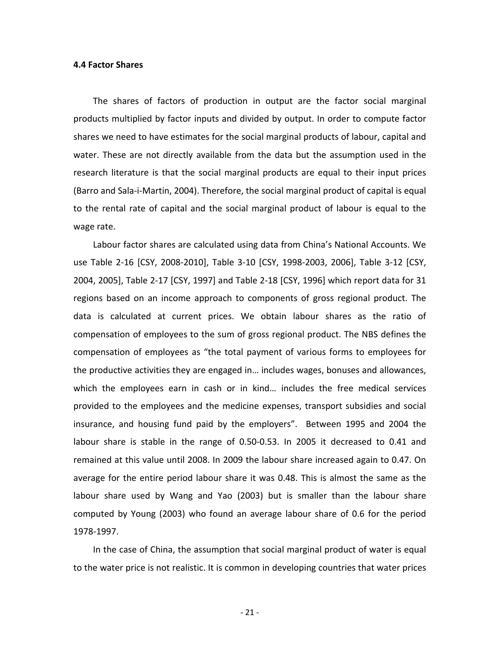#### **4.4 Factor Shares**

The shares of factors of production in output are the factor social marginal products multiplied by factor inputs and divided by output. In order to compute factor shares we need to have estimates for the social marginal products of labour, capital and water. These are not directly available from the data but the assumption used in the research literature is that the social marginal products are equal to their input prices (Barro and Sala‐i‐Martin, 2004). Therefore, the social marginal product of capital is equal to the rental rate of capital and the social marginal product of labour is equal to the wage rate.

Labour factor shares are calculated using data from China's National Accounts. We use Table 2‐16 [CSY, 2008‐2010], Table 3‐10 [CSY, 1998‐2003, 2006], Table 3‐12 [CSY, 2004, 2005], Table 2‐17 [CSY, 1997] and Table 2‐18 [CSY, 1996] which report data for 31 regions based on an income approach to components of gross regional product. The data is calculated at current prices. We obtain labour shares as the ratio of compensation of employees to the sum of gross regional product. The NBS defines the compensation of employees as "the total payment of various forms to employees for the productive activities they are engaged in… includes wages, bonuses and allowances, which the employees earn in cash or in kind… includes the free medical services provided to the employees and the medicine expenses, transport subsidies and social insurance, and housing fund paid by the employers". Between 1995 and 2004 the labour share is stable in the range of 0.50‐0.53. In 2005 it decreased to 0.41 and remained at this value until 2008. In 2009 the labour share increased again to 0.47. On average for the entire period labour share it was 0.48. This is almost the same as the labour share used by Wang and Yao (2003) but is smaller than the labour share computed by Young (2003) who found an average labour share of 0.6 for the period 1978‐1997.

In the case of China, the assumption that social marginal product of water is equal to the water price is not realistic. It is common in developing countries that water prices

 $-21-$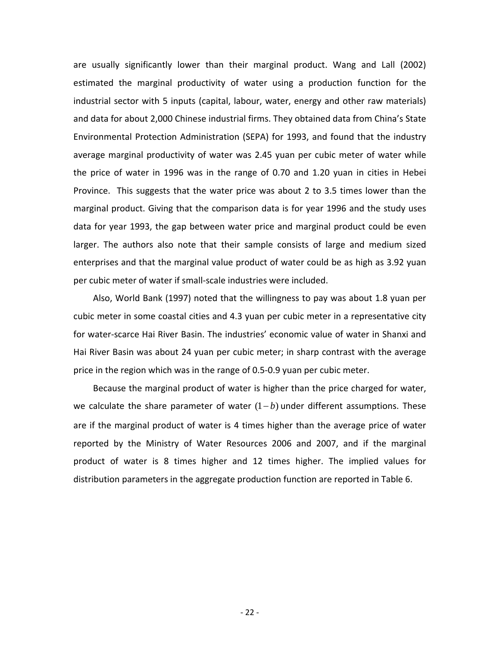are usually significantly lower than their marginal product. Wang and Lall (2002) estimated the marginal productivity of water using a production function for the industrial sector with 5 inputs (capital, labour, water, energy and other raw materials) and data for about 2,000 Chinese industrial firms. They obtained data from China's State Environmental Protection Administration (SEPA) for 1993, and found that the industry average marginal productivity of water was 2.45 yuan per cubic meter of water while the price of water in 1996 was in the range of 0.70 and 1.20 yuan in cities in Hebei Province. This suggests that the water price was about 2 to 3.5 times lower than the marginal product. Giving that the comparison data is for year 1996 and the study uses data for year 1993, the gap between water price and marginal product could be even larger. The authors also note that their sample consists of large and medium sized enterprises and that the marginal value product of water could be as high as 3.92 yuan per cubic meter of water if small‐scale industries were included.

Also, World Bank (1997) noted that the willingness to pay was about 1.8 yuan per cubic meter in some coastal cities and 4.3 yuan per cubic meter in a representative city for water‐scarce Hai River Basin. The industries' economic value of water in Shanxi and Hai River Basin was about 24 yuan per cubic meter; in sharp contrast with the average price in the region which was in the range of 0.5‐0.9 yuan per cubic meter.

Because the marginal product of water is higher than the price charged for water, we calculate the share parameter of water  $(1-b)$  under different assumptions. These are if the marginal product of water is 4 times higher than the average price of water reported by the Ministry of Water Resources 2006 and 2007, and if the marginal product of water is 8 times higher and 12 times higher. The implied values for distribution parameters in the aggregate production function are reported in Table 6.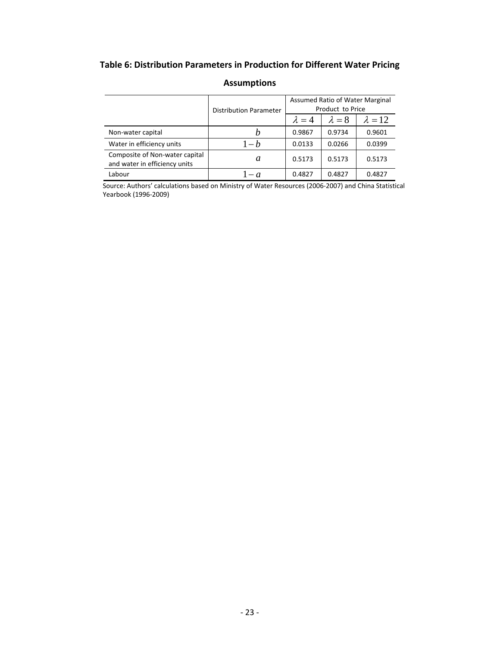# **Table 6: Distribution Parameters in Production for Different Water Pricing**

|                                                                 | <b>Distribution Parameter</b>                                                                                                                                                                                  |  |  |        |
|-----------------------------------------------------------------|----------------------------------------------------------------------------------------------------------------------------------------------------------------------------------------------------------------|--|--|--------|
|                                                                 | Assumed Ratio of Water Marginal<br>Product to Price<br>$\lambda = 12$<br>$\lambda = 8$<br>$\lambda = 4$<br>0.9867<br>0.9734<br>$1-h$<br>0.0266<br>0.0133<br>a<br>0.5173<br>0.5173<br>0.4827<br>0.4827<br>$- a$ |  |  |        |
| Non-water capital                                               |                                                                                                                                                                                                                |  |  | 0.9601 |
| Water in efficiency units                                       |                                                                                                                                                                                                                |  |  | 0.0399 |
| Composite of Non-water capital<br>and water in efficiency units |                                                                                                                                                                                                                |  |  | 0.5173 |
| Labour                                                          |                                                                                                                                                                                                                |  |  | 0.4827 |

## **Assumptions**

Source: Authors' calculations based on Ministry of Water Resources (2006‐2007) and China Statistical Yearbook (1996‐2009)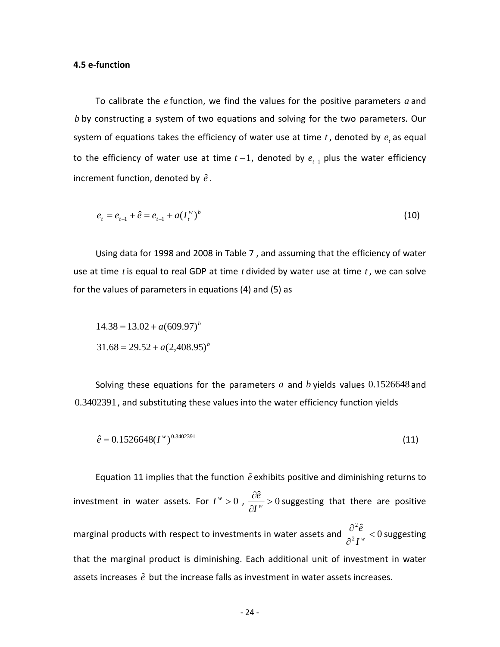## **4.5 e‐function**

To calibrate the  $e$  function, we find the values for the positive parameters  $a$  and  $b$  by constructing a system of two equations and solving for the two parameters. Our system of equations takes the efficiency of water use at time  $t$  , denoted by  $e_t$  as equal to the efficiency of water use at time  $t-1$ , denoted by  $e_{_{t-1}}$  plus the water efficiency increment function, denoted by  $\hat{e}$ .

$$
e_t = e_{t-1} + \hat{e} = e_{t-1} + a(I_t^{\{w\}})^b
$$
\n(10)

Using data for 1998 and 2008 in Table 7, and assuming that the efficiency of water use a t time *t* is equal to real GDP at time *t* divided by water use at time *t* , we can solve for the values of parameters in equations (4) and (5) as

$$
14.38 = 13.02 + a(609.97)^{b}
$$

$$
31.68 = 29.52 + a(2,408.95)^{b}
$$

Solving these equations for the parameters  $a$  and  $b$  yields values  $0.1526648$  and 0.3402391, and substituting these values into the water efficiency function yields

$$
\hat{e} = 0.1526648(I^{\,\nu})^{0.3402391} \tag{11}
$$

Equation 11 implies that the function  $\hat{e}$  exhibits positive and diminishing returns to investment in water assets. For  $I^w > 0$ ,  $\frac{\partial \hat{e}}{\partial I^w} > 0$  $\partial$  $\partial$ *w I*  $\frac{\hat{e}}{e}$  > 0 suggesting that there are positive marginal products with respect to investments in water assets and  $\frac{\partial^2 \hat{e}}{\partial^2 I^w}$  < 0 2  $\lt$  $\partial$  $\partial$ *w I*  $\frac{\hat{e}}{e_w}$  < 0 suggesting assets increases  $\hat{e}$  but the increase falls as investment in water assets increases. that the marginal product is diminishing. Each additional unit of investment in water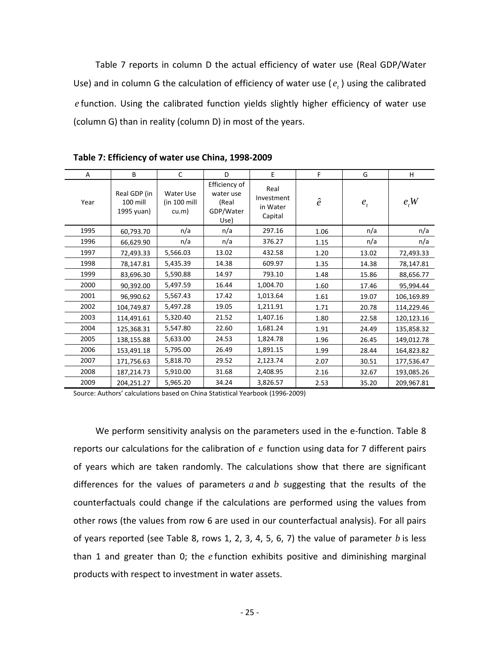Table 7 reports in column D the actual efficiency of water use (Real GDP/Water Use) and in column G the calculation of efficiency of water use  $(e_i)$  using the calibrated e function. Using the calibrated function yields slightly higher efficiency of water use (column G) than in reality (column D) in most of the years.

| A    | B                                      | C                                    | D                                                        | E                                         | F         | G       | H          |
|------|----------------------------------------|--------------------------------------|----------------------------------------------------------|-------------------------------------------|-----------|---------|------------|
| Year | Real GDP (in<br>100 mill<br>1995 yuan) | Water Use<br>$(in 100$ mill<br>cu.m) | Efficiency of<br>water use<br>(Real<br>GDP/Water<br>Use) | Real<br>Investment<br>in Water<br>Capital | $\hat{e}$ | $e_{t}$ | e, W       |
| 1995 | 60,793.70                              | n/a                                  | n/a                                                      | 297.16                                    | 1.06      | n/a     | n/a        |
| 1996 | 66,629.90                              | n/a                                  | n/a                                                      | 376.27                                    | 1.15      | n/a     | n/a        |
| 1997 | 72,493.33                              | 5,566.03                             | 13.02                                                    | 432.58                                    | 1.20      | 13.02   | 72,493.33  |
| 1998 | 78,147.81                              | 5,435.39                             | 14.38                                                    | 609.97                                    | 1.35      | 14.38   | 78,147.81  |
| 1999 | 83,696.30                              | 5,590.88                             | 14.97                                                    | 793.10                                    | 1.48      | 15.86   | 88,656.77  |
| 2000 | 90,392.00                              | 5,497.59                             | 16.44                                                    | 1,004.70                                  | 1.60      | 17.46   | 95,994.44  |
| 2001 | 96,990.62                              | 5,567.43                             | 17.42                                                    | 1,013.64                                  | 1.61      | 19.07   | 106,169.89 |
| 2002 | 104,749.87                             | 5,497.28                             | 19.05                                                    | 1,211.91                                  | 1.71      | 20.78   | 114,229.46 |
| 2003 | 114,491.61                             | 5,320.40                             | 21.52                                                    | 1,407.16                                  | 1.80      | 22.58   | 120,123.16 |
| 2004 | 125,368.31                             | 5,547.80                             | 22.60                                                    | 1,681.24                                  | 1.91      | 24.49   | 135,858.32 |
| 2005 | 138,155.88                             | 5,633.00                             | 24.53                                                    | 1,824.78                                  | 1.96      | 26.45   | 149,012.78 |
| 2006 | 153,491.18                             | 5,795.00                             | 26.49                                                    | 1,891.15                                  | 1.99      | 28.44   | 164,823.82 |
| 2007 | 171,756.63                             | 5,818.70                             | 29.52                                                    | 2,123.74                                  | 2.07      | 30.51   | 177,536.47 |
| 2008 | 187,214.73                             | 5,910.00                             | 31.68                                                    | 2,408.95                                  | 2.16      | 32.67   | 193,085.26 |
| 2009 | 204,251.27                             | 5,965.20                             | 34.24                                                    | 3,826.57                                  | 2.53      | 35.20   | 209,967.81 |

**Table 7: Efficiency of water use China, 1998‐2009**

Source: Authors' calculations based on China Statistical Yearbook (1996-2009)

We perform sensitivity analysis on the parameters used in the e-function. Table 8 reports our calculations for the calibration of  $e$  function using data for 7 different pairs of ye ars which are taken randomly. The calculations show that there are significant other rows (the values from row 6 are used in our counterfactual analysis). For all pairs differences for the values of parameters *a* and *b* suggesting that the results of the counterfactuals could change if the calculations are performed using the values from of years reported (see Table 8, rows 1, 2, 3, 4, 5, 6, 7) the value of parameter *b* is less than 1 and greater than 0; the *e* function exhibits positive and diminishing marginal products with respect to investment in water assets.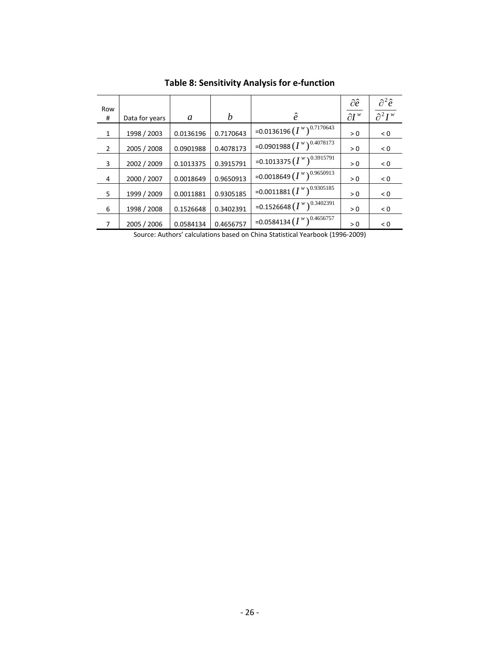| Row<br>#       | Data for years | a         | b         | ê                              | $\partial \hat{e}$<br>$\partial I^w$ | $\partial^2 \hat{e}$<br>$\partial^2 I^w$ |
|----------------|----------------|-----------|-----------|--------------------------------|--------------------------------------|------------------------------------------|
| $\mathbf{1}$   | 1998 / 2003    | 0.0136196 | 0.7170643 | =0.0136196 $(I^w)^{0.7170643}$ | > 0                                  | < 0                                      |
| $\overline{2}$ | 2005 / 2008    | 0.0901988 | 0.4078173 | =0.0901988 $(I^w)^{0.4078173}$ | > 0                                  | < 0                                      |
| 3              | 2002 / 2009    | 0.1013375 | 0.3915791 | =0.1013375 $(I^w)^{0.3915791}$ | > 0                                  | < 0                                      |
| 4              | 2000 / 2007    | 0.0018649 | 0.9650913 | =0.0018649 $(I^w)^{0.9650913}$ | > 0                                  | < 0                                      |
| 5              | 1999 / 2009    | 0.0011881 | 0.9305185 | =0.0011881 $(I^w)^{0.9305185}$ | > 0                                  | < 0                                      |
| 6              | 1998 / 2008    | 0.1526648 | 0.3402391 | =0.1526648 $(I^w)^{0.3402391}$ | > 0                                  | < 0                                      |
| 7              | 2005 / 2006    | 0.0584134 | 0.4656757 | =0.0584134 $(I^w)^{0.4656757}$ | > 0                                  | < 0                                      |
|                |                |           |           |                                |                                      |                                          |

**Table 8: Sensitivity Analysis for e‐function**

Source: Authors' calculations based on China Statistical Yearbook (1996‐2009)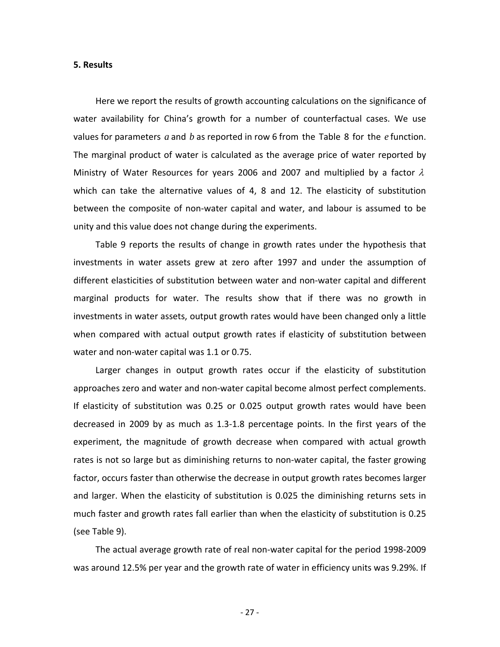#### **5. Results**

Here we report the results of growth accounting calculations on the significance of water availability for China's growth for a number of counterfactual cases. We use value s for parameters *a* and *b* as reported in row 6 from the Table 8 for the *e* function. The marginal product of water is calculated as the average price of water reported by Ministry of Water Resources for years 2006 and 2007 and multiplied by a factor  $\lambda$ which can take the alternative values of 4, 8 and 12. The elasticity of substitution between the composite of non‐water capital and water, and labour is assumed to be unity and this value does not change during the experiments.

Table 9 reports the results of change in growth rates under the hypothesis that investments in water assets grew at zero after 1997 and under the assumption of differ ent elasticities of substitution between water and non‐water capital and different marginal products for water. The results show that if there was no growth in investments in water assets, output growth rates would have been changed only a little when compared with actual output growth rates if elasticity of substitution between water and non-water capital was 1.1 or 0.75.

approaches zero and water and non-water capital become almost perfect complements. If ela sticity of substitution was 0.25 or 0.025 output growth rates would have been Larger changes in output growth rates occur if the elasticity of substitution decreased in 2009 by as much as 1.3‐1.8 percentage points. In the first years of the experiment, the magnitude of growth decrease when compared with actual growth rates is not so large but as diminishing returns to non-water capital, the faster growing factor, occurs faster than otherwise the decrease in output growth rates becomes larger and larger. When the elasticity of substitution is 0.025 the diminishing returns sets in much faster and growth rates fall earlier than when the elasticity of substitution is 0.25 (see Table 9).

was around 12.5% per year and the growth rate of water in efficiency units was 9.29%. If The actual average growth rate of real non‐water capital for the period 1998‐2009

‐ 27 ‐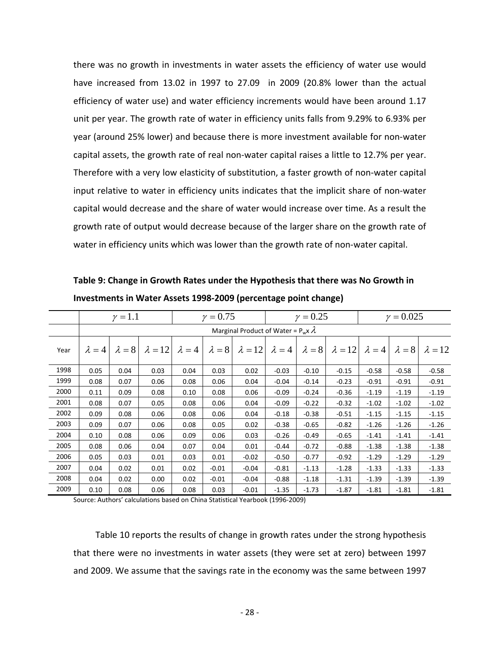there was no growth in investments in water assets the efficiency of water use would have increased from 13.02 in 1997 to 27.09 in 2009 (20.8% lower than the actual efficiency of water use) and water efficiency increments would have been around 1.17 unit per year. The growth rate of water in efficiency units falls from 9.29% to 6.93% per year (around 25% lower) and because there is more investment available for non‐water capital assets, the growth rate of real non-water capital raises a little to 12.7% per year. Therefore with a very low elasticity of substitution, a faster growth of non‐water capital input relative to water in efficiency units indicates that the implicit share of non‐water capital would decrease and the share of water would increase over time. As a result the growth rate of output would decrease because of the larger share on the growth rate of water in efficiency units which was lower than the growth rate of non-water capital.

**Investments in Water Assets 1998‐2009 (percentage point change) Table 9: Change in Growth Rates under the Hypothesis that there was No Growth in**

|      |               | $\gamma = 1.1$ |                |               | $\gamma = 0.75$ |                                             |               | $\gamma = 0.25$ |                |               | $\gamma = 0.025$ |                |  |
|------|---------------|----------------|----------------|---------------|-----------------|---------------------------------------------|---------------|-----------------|----------------|---------------|------------------|----------------|--|
|      |               |                |                |               |                 | Marginal Product of Water = $P_w x \lambda$ |               |                 |                |               |                  |                |  |
| Year | $\lambda = 4$ | $\lambda = 8$  | $\lambda = 12$ | $\lambda = 4$ | $\lambda = 8$   | $\lambda = 12$                              | $\lambda = 4$ | $\lambda = 8$   | $\lambda = 12$ | $\lambda = 4$ | $\lambda = 8$    | $\lambda = 12$ |  |
| 1998 | 0.05          | 0.04           | 0.03           | 0.04          | 0.03            | 0.02                                        | $-0.03$       | $-0.10$         | $-0.15$        | $-0.58$       | $-0.58$          | $-0.58$        |  |
| 1999 | 0.08          | 0.07           | 0.06           | 0.08          | 0.06            | 0.04                                        | $-0.04$       | $-0.14$         | $-0.23$        | $-0.91$       | $-0.91$          | $-0.91$        |  |
| 2000 | 0.11          | 0.09           | 0.08           | 0.10          | 0.08            | 0.06                                        | $-0.09$       | $-0.24$         | $-0.36$        | $-1.19$       | $-1.19$          | $-1.19$        |  |
| 2001 | 0.08          | 0.07           | 0.05           | 0.08          | 0.06            | 0.04                                        | $-0.09$       | $-0.22$         | $-0.32$        | $-1.02$       | $-1.02$          | $-1.02$        |  |
| 2002 | 0.09          | 0.08           | 0.06           | 0.08          | 0.06            | 0.04                                        | $-0.18$       | $-0.38$         | $-0.51$        | $-1.15$       | $-1.15$          | $-1.15$        |  |
| 2003 | 0.09          | 0.07           | 0.06           | 0.08          | 0.05            | 0.02                                        | $-0.38$       | $-0.65$         | $-0.82$        | $-1.26$       | $-1.26$          | $-1.26$        |  |
| 2004 | 0.10          | 0.08           | 0.06           | 0.09          | 0.06            | 0.03                                        | $-0.26$       | $-0.49$         | $-0.65$        | $-1.41$       | $-1.41$          | $-1.41$        |  |
| 2005 | 0.08          | 0.06           | 0.04           | 0.07          | 0.04            | 0.01                                        | $-0.44$       | $-0.72$         | $-0.88$        | $-1.38$       | $-1.38$          | $-1.38$        |  |
| 2006 | 0.05          | 0.03           | 0.01           | 0.03          | 0.01            | $-0.02$                                     | $-0.50$       | $-0.77$         | $-0.92$        | $-1.29$       | $-1.29$          | $-1.29$        |  |
| 2007 | 0.04          | 0.02           | 0.01           | 0.02          | $-0.01$         | $-0.04$                                     | $-0.81$       | $-1.13$         | $-1.28$        | $-1.33$       | $-1.33$          | $-1.33$        |  |
| 2008 | 0.04          | 0.02           | 0.00           | 0.02          | $-0.01$         | $-0.04$                                     | $-0.88$       | $-1.18$         | $-1.31$        | $-1.39$       | $-1.39$          | $-1.39$        |  |
| 2009 | 0.10          | 0.08           | 0.06           | 0.08          | 0.03            | $-0.01$                                     | $-1.35$       | $-1.73$         | $-1.87$        | $-1.81$       | $-1.81$          | $-1.81$        |  |

Source: Authors' calculations based on China Statistical Yearbook (1996-2009)

Table 10 reports the results of change in growth rates under the strong hypothesis hat there were no investments in water assets (they were set at zero) between 1997 t and 2009. We assume that the savings rate in the economy was the same between 1997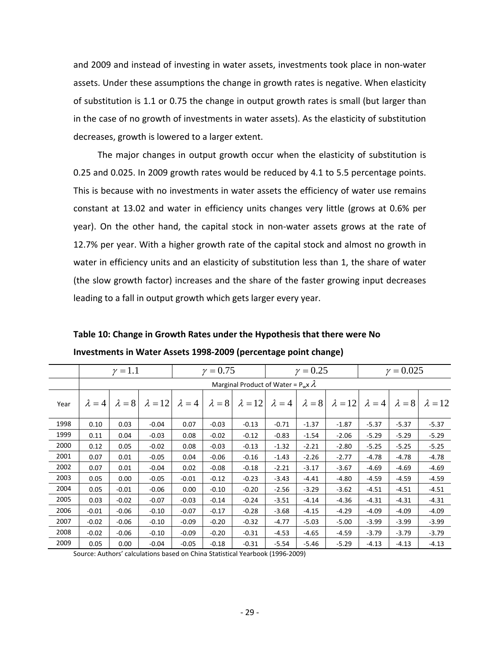and 2 009 and instead of investing in water assets, investments took place in non‐water assets. Under these assumptions the change in growth rates is negative. When elasticity of substitution is 1.1 or 0.75 the change in output growth rates is small (but larger than in the case of no growth of investments in water assets). As the elasticity of substitution decreases, growth is lowered to a larger extent.

This is because with no investments in water assets the efficiency of water use remains const ant at 13.02 and water in efficiency units changes very little (grows at 0.6% per The major changes in output growth occur when the elasticity of substitution is 0.25 and 0.025. In 2009 growth rates would be reduced by 4.1 to 5.5 percentage points. year). On the other hand, the capital stock in non‐water assets grows at the rate of 12.7% per year. With a higher growth rate of the capital stock and almost no growth in water in efficiency units and an elasticity of substitution less than 1, the share of water (the slow growth factor) increases and the share of the faster growing input decreases leading to a fall in output growth which gets larger every year.

|      |               | $\gamma = 1.1$ |                |               | $\gamma = 0.75$ |                                             |               | $\gamma = 0.25$ |                              |               |               | $\gamma = 0.025$ |  |
|------|---------------|----------------|----------------|---------------|-----------------|---------------------------------------------|---------------|-----------------|------------------------------|---------------|---------------|------------------|--|
|      |               |                |                |               |                 | Marginal Product of Water = $P_w x \lambda$ |               |                 |                              |               |               |                  |  |
| Year | $\lambda = 4$ | $\lambda = 8$  | $\lambda = 12$ | $\lambda = 4$ | $\lambda = 8$   | $\lambda = 12$                              | $\lambda = 4$ |                 | $\lambda = 8$ $\lambda = 12$ | $\lambda = 4$ | $\lambda = 8$ | $\lambda = 12$   |  |
| 1998 | 0.10          | 0.03           | $-0.04$        | 0.07          | $-0.03$         | $-0.13$                                     | $-0.71$       | $-1.37$         | $-1.87$                      | $-5.37$       | $-5.37$       | $-5.37$          |  |
| 1999 | 0.11          | 0.04           | $-0.03$        | 0.08          | $-0.02$         | $-0.12$                                     | $-0.83$       | $-1.54$         | $-2.06$                      | $-5.29$       | $-5.29$       | $-5.29$          |  |
| 2000 | 0.12          | 0.05           | $-0.02$        | 0.08          | $-0.03$         | $-0.13$                                     | $-1.32$       | $-2.21$         | $-2.80$                      | $-5.25$       | $-5.25$       | $-5.25$          |  |
| 2001 | 0.07          | 0.01           | $-0.05$        | 0.04          | $-0.06$         | $-0.16$                                     | $-1.43$       | $-2.26$         | $-2.77$                      | $-4.78$       | $-4.78$       | $-4.78$          |  |
| 2002 | 0.07          | 0.01           | $-0.04$        | 0.02          | $-0.08$         | $-0.18$                                     | $-2.21$       | $-3.17$         | $-3.67$                      | $-4.69$       | $-4.69$       | $-4.69$          |  |
| 2003 | 0.05          | 0.00           | $-0.05$        | $-0.01$       | $-0.12$         | $-0.23$                                     | $-3.43$       | $-4.41$         | $-4.80$                      | $-4.59$       | $-4.59$       | $-4.59$          |  |
| 2004 | 0.05          | $-0.01$        | $-0.06$        | 0.00          | $-0.10$         | $-0.20$                                     | $-2.56$       | $-3.29$         | $-3.62$                      | $-4.51$       | $-4.51$       | $-4.51$          |  |
| 2005 | 0.03          | $-0.02$        | $-0.07$        | $-0.03$       | $-0.14$         | $-0.24$                                     | $-3.51$       | $-4.14$         | -4.36                        | $-4.31$       | $-4.31$       | $-4.31$          |  |
| 2006 | $-0.01$       | $-0.06$        | $-0.10$        | $-0.07$       | $-0.17$         | $-0.28$                                     | $-3.68$       | $-4.15$         | -4.29                        | $-4.09$       | $-4.09$       | $-4.09$          |  |
| 2007 | $-0.02$       | $-0.06$        | $-0.10$        | $-0.09$       | $-0.20$         | $-0.32$                                     | $-4.77$       | $-5.03$         | $-5.00$                      | $-3.99$       | $-3.99$       | $-3.99$          |  |
| 2008 | $-0.02$       | $-0.06$        | $-0.10$        | $-0.09$       | $-0.20$         | $-0.31$                                     | $-4.53$       | $-4.65$         | $-4.59$                      | $-3.79$       | $-3.79$       | $-3.79$          |  |
| 2009 | 0.05          | 0.00           | $-0.04$        | $-0.05$       | $-0.18$         | $-0.31$                                     | $-5.54$       | $-5.46$         | $-5.29$                      | $-4.13$       | $-4.13$       | $-4.13$          |  |

**nge) Investments in Water Assets 1998‐2009 (percentage point cha Table 10: Change in Growth Rates under the Hypothesis that there were No**

Source: Authors' calculations based on China Statistical Yearbook (1996‐2009)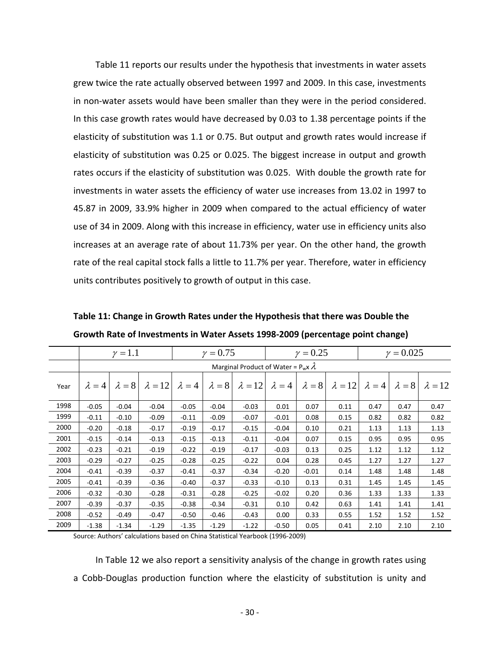Table 11 reports our results under the hypothesis that investments in water assets grew twice the rate actually observed between 1997 and 2009. In this case, investments in non-water assets would have been smaller than they were in the period considered. In this case growth rates would have decreased by 0.03 to 1.38 percentage points if the elasticity of substitution was 1.1 or 0.75. But output and growth rates would increase if elasticity of substitution was 0.25 or 0.025. The biggest increase in output and growth rates occurs if the elasticity of substitution was 0.025. With double the growth rate for investments in water assets the efficiency of water use increases from 13.02 in 1997 to 45.87 in 2009, 33.9% higher in 2009 when compared to the actual efficiency of water use of 34 in 2009. Along with this increase in efficiency, water use in efficiency units also increases at an average rate of about 11.73% per year. On the other hand, the growth rate of the real capital stock falls a little to 11.7% per year. Therefore, water in efficiency units contributes positively to growth of output in this case.

|      |               | $\gamma = 1.1$ |                |               | $\gamma = 0.75$ |                                             |               | $\gamma = 0.25$ |                | $\gamma = 0.025$ |               |                |  |
|------|---------------|----------------|----------------|---------------|-----------------|---------------------------------------------|---------------|-----------------|----------------|------------------|---------------|----------------|--|
|      |               |                |                |               |                 | Marginal Product of Water = $P_w x \lambda$ |               |                 |                |                  |               |                |  |
| Year | $\lambda = 4$ | $\lambda = 8$  | $\lambda = 12$ | $\lambda = 4$ | $\lambda = 8$   | $\lambda = 12$                              | $\lambda = 4$ | $\lambda = 8$   | $\lambda = 12$ | $\lambda = 4$    | $\lambda = 8$ | $\lambda = 12$ |  |
| 1998 | $-0.05$       | $-0.04$        | $-0.04$        | $-0.05$       | $-0.04$         | $-0.03$                                     | 0.01          | 0.07            | 0.11           | 0.47             | 0.47          | 0.47           |  |
| 1999 | $-0.11$       | $-0.10$        | $-0.09$        | $-0.11$       | $-0.09$         | $-0.07$                                     | $-0.01$       | 0.08            | 0.15           | 0.82             | 0.82          | 0.82           |  |
| 2000 | $-0.20$       | $-0.18$        | $-0.17$        | $-0.19$       | $-0.17$         | $-0.15$                                     | $-0.04$       | 0.10            | 0.21           | 1.13             | 1.13          | 1.13           |  |
| 2001 | $-0.15$       | $-0.14$        | $-0.13$        | $-0.15$       | $-0.13$         | $-0.11$                                     | $-0.04$       | 0.07            | 0.15           | 0.95             | 0.95          | 0.95           |  |
| 2002 | $-0.23$       | $-0.21$        | $-0.19$        | $-0.22$       | $-0.19$         | $-0.17$                                     | $-0.03$       | 0.13            | 0.25           | 1.12             | 1.12          | 1.12           |  |
| 2003 | $-0.29$       | $-0.27$        | $-0.25$        | $-0.28$       | $-0.25$         | $-0.22$                                     | 0.04          | 0.28            | 0.45           | 1.27             | 1.27          | 1.27           |  |
| 2004 | $-0.41$       | $-0.39$        | $-0.37$        | $-0.41$       | $-0.37$         | $-0.34$                                     | $-0.20$       | $-0.01$         | 0.14           | 1.48             | 1.48          | 1.48           |  |
| 2005 | $-0.41$       | $-0.39$        | $-0.36$        | $-0.40$       | $-0.37$         | $-0.33$                                     | $-0.10$       | 0.13            | 0.31           | 1.45             | 1.45          | 1.45           |  |
| 2006 | $-0.32$       | $-0.30$        | $-0.28$        | $-0.31$       | $-0.28$         | $-0.25$                                     | $-0.02$       | 0.20            | 0.36           | 1.33             | 1.33          | 1.33           |  |
| 2007 | $-0.39$       | $-0.37$        | $-0.35$        | $-0.38$       | $-0.34$         | $-0.31$                                     | 0.10          | 0.42            | 0.63           | 1.41             | 1.41          | 1.41           |  |
| 2008 | $-0.52$       | $-0.49$        | $-0.47$        | $-0.50$       | $-0.46$         | $-0.43$                                     | 0.00          | 0.33            | 0.55           | 1.52             | 1.52          | 1.52           |  |
| 2009 | $-1.38$       | $-1.34$        | $-1.29$        | $-1.35$       | $-1.29$         | $-1.22$                                     | $-0.50$       | 0.05            | 0.41           | 2.10             | 2.10          | 2.10           |  |

**Table 11: Change in Growth Rates under the Hypothesis that there was Double the Growth Rate of Investments in Water Assets 1998‐2009 (percentage point change)**

Source: Authors' calculations based on China Statistical Yearbook (1996-2009)

In Table 12 we also report a sensitivity analysis of the change in growth rates using a Cobb-Douglas production function where the elasticity of substitution is unity and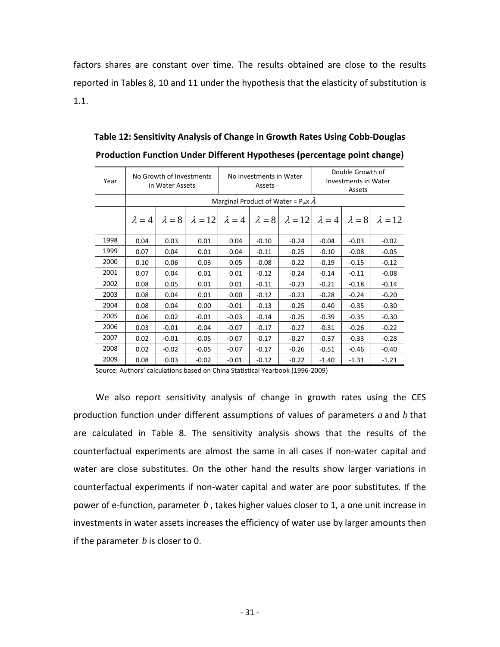factors shares are constant over time. The results obtained are close to the results repor ted in Tables 8, 10 and 11 under the hypothesis that the elasticity of substitution is 1.1.

| Year |               | No Growth of Investments<br>in Water Assets |         |                              | No Investments in Water<br>Assets |                                             |               | Double Growth of<br>Investments in Water<br>Assets |                |
|------|---------------|---------------------------------------------|---------|------------------------------|-----------------------------------|---------------------------------------------|---------------|----------------------------------------------------|----------------|
|      |               |                                             |         |                              |                                   | Marginal Product of Water = $P_w x \lambda$ |               |                                                    |                |
|      | $\lambda = 4$ | $\lambda = 8$                               |         | $\lambda = 12$ $\lambda = 4$ | $\lambda = 8$                     | $\lambda = 12$                              | $\lambda = 4$ | $\lambda = 8$                                      | $\lambda = 12$ |
| 1998 | 0.04          | 0.03                                        | 0.01    | 0.04                         | $-0.10$                           | $-0.24$                                     | $-0.04$       | $-0.03$                                            | $-0.02$        |
| 1999 | 0.07          | 0.04                                        | 0.01    | 0.04                         | $-0.11$                           | $-0.25$                                     | $-0.10$       | $-0.08$                                            | $-0.05$        |
| 2000 | 0.10          | 0.06                                        | 0.03    | 0.05                         | $-0.08$                           | $-0.22$                                     | $-0.19$       | $-0.15$                                            | $-0.12$        |
| 2001 | 0.07          | 0.04                                        | 0.01    | 0.01                         | $-0.12$                           | $-0.24$                                     | $-0.14$       | $-0.11$                                            | $-0.08$        |
| 2002 | 0.08          | 0.05                                        | 0.01    | 0.01                         | $-0.11$                           | $-0.23$                                     | $-0.21$       | $-0.18$                                            | $-0.14$        |
| 2003 | 0.08          | 0.04                                        | 0.01    | 0.00                         | $-0.12$                           | $-0.23$                                     | $-0.28$       | $-0.24$                                            | $-0.20$        |
| 2004 | 0.08          | 0.04                                        | 0.00    | $-0.01$                      | $-0.13$                           | $-0.25$                                     | $-0.40$       | $-0.35$                                            | $-0.30$        |
| 2005 | 0.06          | 0.02                                        | $-0.01$ | $-0.03$                      | $-0.14$                           | $-0.25$                                     | $-0.39$       | $-0.35$                                            | $-0.30$        |
| 2006 | 0.03          | $-0.01$                                     | $-0.04$ | $-0.07$                      | $-0.17$                           | $-0.27$                                     | $-0.31$       | $-0.26$                                            | $-0.22$        |
| 2007 | 0.02          | $-0.01$                                     | $-0.05$ | $-0.07$                      | $-0.17$                           | $-0.27$                                     | $-0.37$       | $-0.33$                                            | $-0.28$        |
| 2008 | 0.02          | $-0.02$                                     | $-0.05$ | $-0.07$                      | $-0.17$                           | $-0.26$                                     | $-0.51$       | $-0.46$                                            | $-0.40$        |
| 2009 | 0.08          | 0.03                                        | $-0.02$ | $-0.01$                      | $-0.12$                           | $-0.22$                                     | $-1.40$       | $-1.31$                                            | $-1.21$        |

**Production Function Under Different Hypotheses (percentage point change) Table 12: Sensitivity Analysis of Change in Growth Rates Using Cobb‐Douglas**

Source: Authors' calculations based on China Statistical Yearbook (1996-2009)

We also report sensitivity analysis of change in growth rates using the CES production function under different assumptions of values of parameters  $a$  and  $b$  that are calculated in Table 8. The sensitivity analysis shows that the results of the coun terfactual experiments are almost the same in all cases if non‐water capital and water are close substitutes. On the other hand the results show larger variations in counterfactual experiments if non‐water capital and water are poor substitutes. If the power of e‐function, parameter *b* , takes higher values closer to 1, a one unit increase in investments in water assets increases the efficiency of water use by larger amounts then if the parameter *b* is closer to 0.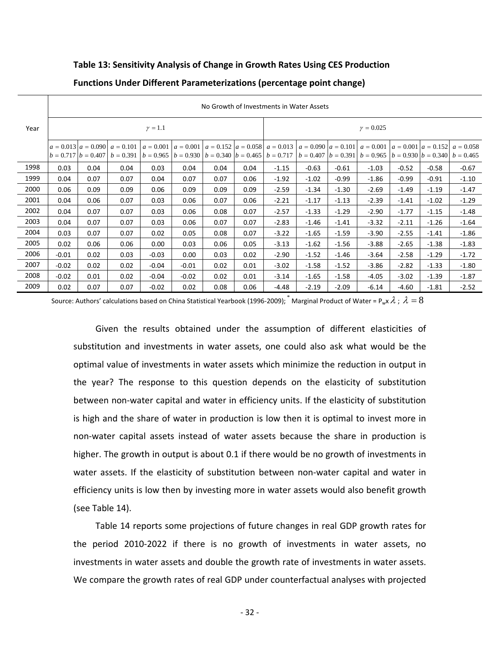## **Table 13: Sensitivity Analysis of Change in Growth Rates Using CES Production**

|      | No Growth of Investments in Water Assets |      |                                                                            |         |                                                                     |      |      |                                                                                                 |                         |         |                                                                   |         |         |                                  |  |
|------|------------------------------------------|------|----------------------------------------------------------------------------|---------|---------------------------------------------------------------------|------|------|-------------------------------------------------------------------------------------------------|-------------------------|---------|-------------------------------------------------------------------|---------|---------|----------------------------------|--|
| Year | $\gamma = 1.1$                           |      |                                                                            |         |                                                                     |      |      | $\gamma = 0.025$                                                                                |                         |         |                                                                   |         |         |                                  |  |
|      |                                          |      | $a = 0.013$ $a = 0.090$ $a = 0.101$<br>$b = 0.717$ $b = 0.407$ $b = 0.391$ |         | $b = 0.965$   $b = 0.930$   $b = 0.340$   $b = 0.465$   $b = 0.717$ |      |      | $a = 0.001$   $a = 0.001$   $a = 0.152$   $a = 0.058$   $a = 0.013$   $a = 0.090$   $a = 0.101$ | $b = 0.407$ $b = 0.391$ |         | $a = 0.001$<br>$b = 0.965$ $ b = 0.930$ $ b = 0.340$ $ b = 0.465$ |         |         | $ a = 0.001 a = 0.152 a = 0.058$ |  |
| 1998 | 0.03                                     | 0.04 | 0.04                                                                       | 0.03    | 0.04                                                                | 0.04 | 0.04 | $-1.15$                                                                                         | $-0.63$                 | $-0.61$ | $-1.03$                                                           | $-0.52$ | $-0.58$ | $-0.67$                          |  |
| 1999 | 0.04                                     | 0.07 | 0.07                                                                       | 0.04    | 0.07                                                                | 0.07 | 0.06 | $-1.92$                                                                                         | $-1.02$                 | $-0.99$ | $-1.86$                                                           | $-0.99$ | $-0.91$ | $-1.10$                          |  |
| 2000 | 0.06                                     | 0.09 | 0.09                                                                       | 0.06    | 0.09                                                                | 0.09 | 0.09 | $-2.59$                                                                                         | $-1.34$                 | $-1.30$ | $-2.69$                                                           | $-1.49$ | $-1.19$ | $-1.47$                          |  |
| 2001 | 0.04                                     | 0.06 | 0.07                                                                       | 0.03    | 0.06                                                                | 0.07 | 0.06 | $-2.21$                                                                                         | $-1.17$                 | $-1.13$ | $-2.39$                                                           | $-1.41$ | $-1.02$ | $-1.29$                          |  |
| 2002 | 0.04                                     | 0.07 | 0.07                                                                       | 0.03    | 0.06                                                                | 0.08 | 0.07 | $-2.57$                                                                                         | $-1.33$                 | $-1.29$ | $-2.90$                                                           | $-1.77$ | $-1.15$ | $-1.48$                          |  |
| 2003 | 0.04                                     | 0.07 | 0.07                                                                       | 0.03    | 0.06                                                                | 0.07 | 0.07 | $-2.83$                                                                                         | $-1.46$                 | $-1.41$ | $-3.32$                                                           | $-2.11$ | $-1.26$ | $-1.64$                          |  |
| 2004 | 0.03                                     | 0.07 | 0.07                                                                       | 0.02    | 0.05                                                                | 0.08 | 0.07 | $-3.22$                                                                                         | $-1.65$                 | $-1.59$ | $-3.90$                                                           | $-2.55$ | $-1.41$ | $-1.86$                          |  |
| 2005 | 0.02                                     | 0.06 | 0.06                                                                       | 0.00    | 0.03                                                                | 0.06 | 0.05 | $-3.13$                                                                                         | $-1.62$                 | $-1.56$ | $-3.88$                                                           | $-2.65$ | $-1.38$ | $-1.83$                          |  |
| 2006 | $-0.01$                                  | 0.02 | 0.03                                                                       | $-0.03$ | 0.00                                                                | 0.03 | 0.02 | $-2.90$                                                                                         | $-1.52$                 | $-1.46$ | $-3.64$                                                           | $-2.58$ | $-1.29$ | $-1.72$                          |  |
| 2007 | $-0.02$                                  | 0.02 | 0.02                                                                       | $-0.04$ | $-0.01$                                                             | 0.02 | 0.01 | $-3.02$                                                                                         | $-1.58$                 | $-1.52$ | $-3.86$                                                           | $-2.82$ | $-1.33$ | $-1.80$                          |  |
| 2008 | $-0.02$                                  | 0.01 | 0.02                                                                       | $-0.04$ | $-0.02$                                                             | 0.02 | 0.01 | $-3.14$                                                                                         | $-1.65$                 | $-1.58$ | $-4.05$                                                           | $-3.02$ | $-1.39$ | $-1.87$                          |  |
| 2009 | 0.02                                     | 0.07 | 0.07                                                                       | $-0.02$ | 0.02                                                                | 0.08 | 0.06 | $-4.48$                                                                                         | $-2.19$                 | $-2.09$ | $-6.14$                                                           | $-4.60$ | $-1.81$ | $-2.52$                          |  |

## **Functions Under Different Parameterizations (percentage point change)**

Source: Authors' calculations based on China Statistical Yearbook (1996-2009);  $\tilde{ }$  Marginal Product of Water = P<sub>w</sub>x  $\lambda$ ;  $\lambda = 8$ 

Given the results obtained under the assumption of different elasticities of substitution and investments in water assets, one could also ask what would be the optimal value of investments in water assets which minimize the reduction in output in he year? The response to this question depends on the elasticity of substitution t betw een non‐water capital and water in efficiency units. If the elasticity of substitution is high and the share of water in production is low then it is optimal to invest more in non‐water capital assets instead of water assets because the share in production is higher. The growth in output is about 0.1 if there would be no growth of investments in water assets. If the elasticity of substitution between non-water capital and water in efficiency units is low then by investing more in water assets would also benefit growth (see Table 14).

We compare the growth rates of real GDP under counterfactual analyses with projected Table 14 reports some projections of future changes in real GDP growth rates for the period 2010‐2022 if there is no growth of investments in water assets, no investments in water assets and double the growth rate of investments in water assets.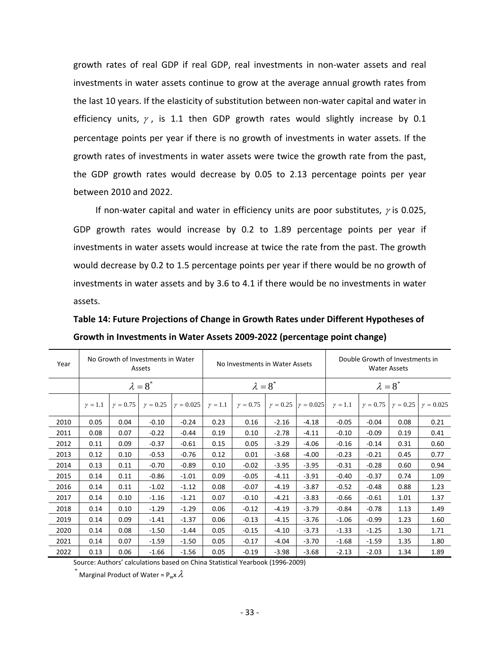growth rates of real GDP if real GDP, real investments in non‐water assets and real investments in water assets continue to grow at the average annual growth rates from the last 10 years. If the elasticity of substitution between non‐water capital and water in efficiency units,  $\gamma$ , is 1.1 then GDP growth rates would slightly increase by 0.1 percentage points per year if there is no growth of investments in water assets. If the growth rates of investments in water assets were twice the growth rate from the past, the GDP growth rates would decrease by 0.05 to 2.13 percentage points per year between 2010 and 2022.

If non-water capital and water in efficiency units are poor substitutes,  $\gamma$  is 0.025, GDP growth rates would increase by 0.2 to 1.89 percentage points per year if investments in water assets would increase at twice the rate from the past. The growth would decrease by 0.2 to 1.5 percentage points per year if there would be no growth of investments in water assets and by 3.6 to 4.1 if there would be no investments in water assets.

**Table 14: Future Projections of Change in Growth Rates under Different Hypotheses of Growth in Investments in Water Assets 2009‐2022 (percentage point change)**

| Year |              |                 | No Growth of Investments in Water<br>Assets |                  | No Investments in Water Assets |                 |         |                                  | Double Growth of Investments in<br><b>Water Assets</b> |                 |                 |                  |  |
|------|--------------|-----------------|---------------------------------------------|------------------|--------------------------------|-----------------|---------|----------------------------------|--------------------------------------------------------|-----------------|-----------------|------------------|--|
|      |              |                 | $\lambda = 8^*$                             |                  |                                | $\lambda = 8^*$ |         |                                  | $\lambda = 8^*$                                        |                 |                 |                  |  |
|      | $\gamma=1.1$ | $\gamma = 0.75$ | $\gamma = 0.25$                             | $\gamma = 0.025$ | $\gamma = 1.1$                 | $\gamma = 0.75$ |         | $\gamma = 0.25$ $\gamma = 0.025$ | $\gamma = 1.1$                                         | $\gamma = 0.75$ | $\gamma = 0.25$ | $\gamma = 0.025$ |  |
| 2010 | 0.05         | 0.04            | $-0.10$                                     | $-0.24$          | 0.23                           | 0.16            | $-2.16$ | $-4.18$                          | $-0.05$                                                | $-0.04$         | 0.08            | 0.21             |  |
| 2011 | 0.08         | 0.07            | $-0.22$                                     | $-0.44$          | 0.19                           | 0.10            | $-2.78$ | $-4.11$                          | $-0.10$                                                | $-0.09$         | 0.19            | 0.41             |  |
| 2012 | 0.11         | 0.09            | $-0.37$                                     | $-0.61$          | 0.15                           | 0.05            | $-3.29$ | $-4.06$                          | $-0.16$                                                | $-0.14$         | 0.31            | 0.60             |  |
| 2013 | 0.12         | 0.10            | $-0.53$                                     | $-0.76$          | 0.12                           | 0.01            | $-3.68$ | $-4.00$                          | $-0.23$                                                | $-0.21$         | 0.45            | 0.77             |  |
| 2014 | 0.13         | 0.11            | $-0.70$                                     | $-0.89$          | 0.10                           | $-0.02$         | $-3.95$ | $-3.95$                          | $-0.31$                                                | $-0.28$         | 0.60            | 0.94             |  |
| 2015 | 0.14         | 0.11            | $-0.86$                                     | $-1.01$          | 0.09                           | $-0.05$         | $-4.11$ | $-3.91$                          | $-0.40$                                                | $-0.37$         | 0.74            | 1.09             |  |
| 2016 | 0.14         | 0.11            | $-1.02$                                     | $-1.12$          | 0.08                           | $-0.07$         | $-4.19$ | $-3.87$                          | $-0.52$                                                | $-0.48$         | 0.88            | 1.23             |  |
| 2017 | 0.14         | 0.10            | $-1.16$                                     | $-1.21$          | 0.07                           | $-0.10$         | $-4.21$ | $-3.83$                          | $-0.66$                                                | $-0.61$         | 1.01            | 1.37             |  |
| 2018 | 0.14         | 0.10            | $-1.29$                                     | $-1.29$          | 0.06                           | $-0.12$         | $-4.19$ | $-3.79$                          | $-0.84$                                                | $-0.78$         | 1.13            | 1.49             |  |
| 2019 | 0.14         | 0.09            | $-1.41$                                     | $-1.37$          | 0.06                           | $-0.13$         | $-4.15$ | $-3.76$                          | $-1.06$                                                | $-0.99$         | 1.23            | 1.60             |  |
| 2020 | 0.14         | 0.08            | $-1.50$                                     | $-1.44$          | 0.05                           | $-0.15$         | $-4.10$ | $-3.73$                          | $-1.33$                                                | $-1.25$         | 1.30            | 1.71             |  |
| 2021 | 0.14         | 0.07            | $-1.59$                                     | $-1.50$          | 0.05                           | $-0.17$         | $-4.04$ | $-3.70$                          | $-1.68$                                                | $-1.59$         | 1.35            | 1.80             |  |
| 2022 | 0.13         | 0.06            | $-1.66$                                     | $-1.56$          | 0.05                           | $-0.19$         | $-3.98$ | $-3.68$                          | $-2.13$                                                | $-2.03$         | 1.34            | 1.89             |  |

Source: Authors' calculations based on China Statistical Yearbook (1996-2009)

 $^{*}$  Marginal Product of Water = P<sub>w</sub>x  $\lambda$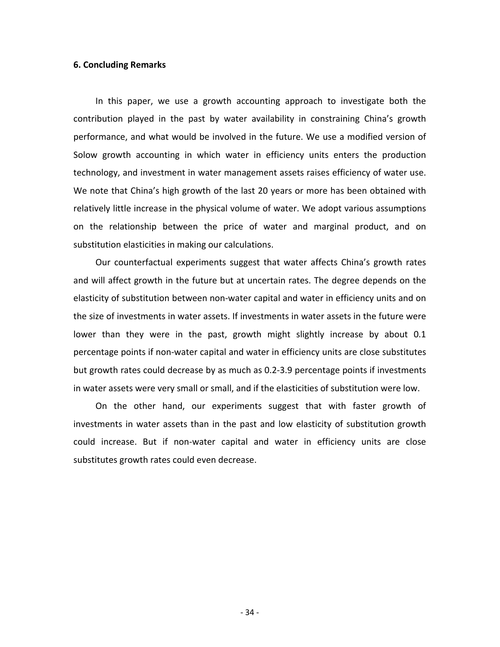## **6. Concluding Remarks**

In this paper, we use a growth accounting approach to investigate both the contribution played in the past by water availability in constraining China's growth performance, and what would be involved in the future. We use a modified version of Solow growth accounting in which water in efficiency units enters the production techn ology, and investment in water management assets raises efficiency of water use. We note that China's high growth of the last 20 years or more has been obtained with relatively little increase in the physical volume of water. We adopt various assumptions on the relationship between the price of water and marginal product, and on substitution elasticities in making our calculations.

the size of investments in water assets. If investments in water assets in the future were lower than they were in the past, growth might slightly increase by about 0.1 Our counterfactual experiments suggest that water affects China's growth rates and will affect growth in the future but at uncertain rates. The degree depends on the elasticity of substitution between non-water capital and water in efficiency units and on percentage points if non‐water capital and water in efficiency units are close substitutes but growth rates could decrease by as much as 0.2‐3.9 percentage points if investments in water assets were very small or small, and if the elasticities of substitution were low.

On the other hand, our experiments suggest that with faster growth of investments in water assets than in the past and low elasticity of substitution growth could increase. But if non‐water capital and water in efficiency units are close substitutes growth rates could even decrease.

‐ 34 ‐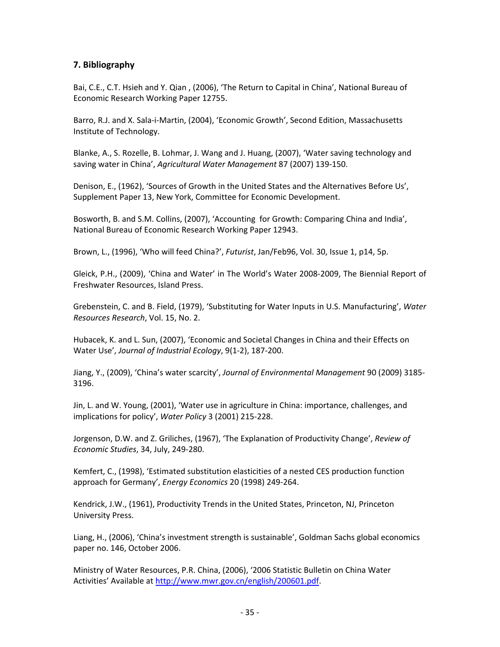## **7. Bibliography**

Bai, C.E., C.T. Hsieh and Y. Qian , (2006), 'The Return to Capital in China', National Bureau of Economic Research Working Paper 12755.

Barro, R.J. and X. Sala-i-Martin, (2004), 'Economic Growth', Second Edition, Massachusetts Institute of Technology.

Blanke, A., S. Rozelle, B. Lohmar, J. Wang and J. Huang, (2007), 'Water saving technology and saving water in China', *Agricultural Water Management* 87 (2007) 139‐150.

Denison, E., (1962), 'Sources of Growth in the United States and the Alternatives Before Us', Supplement Paper 13, New York, Committee for Economic Development.

Bosworth, B. and S.M. Collins, (2007), 'Accounting for Growth: Comparing China and India', National Bureau of Economic Research Working Paper 12943.

Brown, L., (1996), 'Who will feed China?', *Futurist*, Jan/Feb96, Vol. 30, Issue 1, p14, 5p.

Gleick, P.H., (2009), 'China and Water' in The World's Water 2008‐2009, The Biennial Report of Freshwater Resources, Island Press.

Grebenstein, C. and B. Field, (1979), 'Substituting for Water Inputs in U.S. Manufacturing', *Water Resources Research*, Vol. 15, No. 2.

Hubacek, K. and L. Sun, (2007), 'Economic and Societal Changes in China and their Effects on Water Use', *Journal of Industrial Ecology*, 9(1‐2), 187‐200.

Jiang, Y., (2009), 'China's water scarcity', *Journal of Environmental Management* 90 (2009) 3185‐ 3196.

Jin, L. and W. Young, (2001), 'Water use in agriculture in China: importance, challenges, and implications for policy', *Water Policy* 3 (2001) 215‐228.

Jorgenson, D.W. and Z. Griliches, (1967), 'The Explanation of Productivity Change', *Review of Economic Studies*, 34, July, 249‐280.

Kemfert, C., (1998), 'Estimated substitution elasticities of a nested CES production function approach for Germany', *Energy Economics* 20 (1998) 249‐264.

Kendrick, J.W., (1961), Productivity Trends in the United States, Princeton, NJ, Princeton University Press.

Liang, H., (2006), 'China's investment strength is sustainable', Goldman Sachs global economics paper no. 146, October 2006.

Ministry of Water Resources, P.R. China, (2006), '2006 Statistic Bulletin on China Water Activities' Available at [http://www.mwr.gov.cn/english/200601.pdf.](http://www.mwr.gov.cn/english/200601.pdf)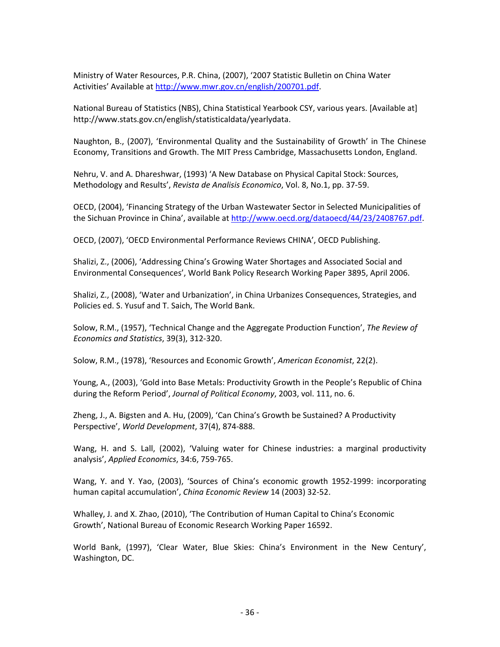Ministry of Water Resources, P.R. China, (2007), '2007 Statistic Bulletin on China Water Activities' Available at [http://www.mwr.gov.cn/english/200701.pdf.](http://www.mwr.gov.cn/english/200701.pdf)

National Bureau of Statistics (NBS), China Statistical Yearbook CSY, various years. [Available at] http://www.stats.gov.cn/english/statisticaldata/yearlydata.

Naughton, B., (2007), 'Environmental Quality and the Sustainability of Growth' in The Chinese Economy, Transitions and Growth. The MIT Press Cambridge, Massachusetts London, England.

Nehru, V. and A. Dhareshwar, (1993) 'A New Database on Physical Capital Stock: Sources, Methodology and Results', *Revista de Analisis Economico*, Vol. 8, No.1, pp. 37‐59.

OECD, (2004), 'Financing Strategy of the Urban Wastewater Sector in Selected Municipalities of the Sichuan Province in China', available at <http://www.oecd.org/dataoecd/44/23/2408767.pdf>.

OECD, (2007), 'OECD Environmental Performance Reviews CHINA', OECD Publishing.

Shalizi, Z., (2006), 'Addressing China's Growing Water Shortages and Associated Social and Environmental Consequences', World Bank Policy Research Working Paper 3895, April 2006.

Shalizi, Z., (2008), 'Water and Urbanization', in China Urbanizes Consequences, Strategies, and Policies ed. S. Yusuf and T. Saich, The World Bank.

Solow, R.M., (1957), 'Technical Change and the Aggregate Production Function', *The Review of Economics and Statistics*, 39(3), 312‐320.

Solow, R.M., (1978), 'Resources and Economic Growth', *American Economist*, 22(2).

Young, A., (2003), 'Gold into Base Metals: Productivity Growth in the People's Republic of China during the Reform Period', *Journal of Political Economy*, 2003, vol. 111, no. 6.

Zheng, J., A. Bigsten and A. Hu, (2009), 'Can China's Growth be Sustained? A Productivity Perspective', *World Development*, 37(4), 874‐888.

Wang, H. and S. Lall, (2002), 'Valuing water for Chinese industries: a marginal productivity analysis', *Applied Economics*, 34:6, 759‐765.

Wang, Y. and Y. Yao, (2003), 'Sources of China's economic growth 1952-1999: incorporating human capital accumulation', *China Economic Review* 14 (2003) 32‐52.

Whalley, J. and X. Zhao, (2010), 'The Contribution of Human Capital to China's Economic Growth', National Bureau of Economic Research Working Paper 16592.

World Bank, (1997), 'Clear Water, Blue Skies: China's Environment in the New Century', Washington, DC.